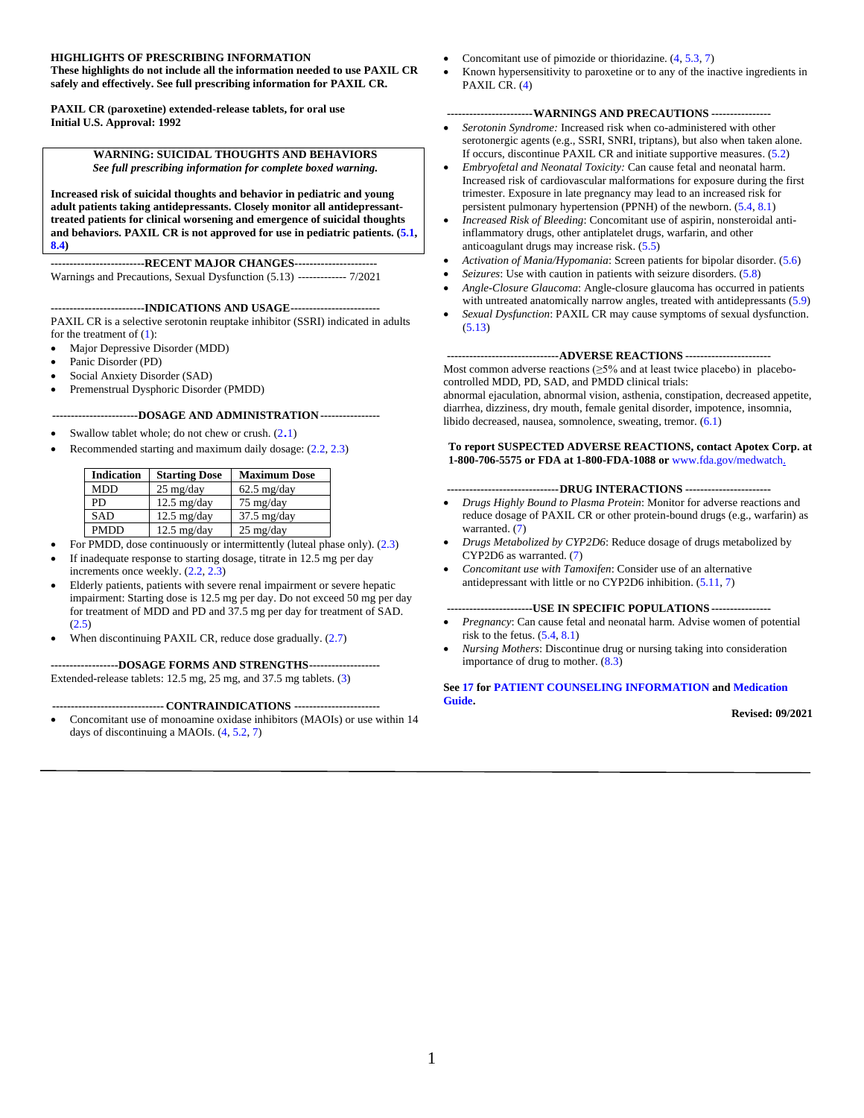#### **HIGHLIGHTS OF PRESCRIBING INFORMATION**

**These highlights do not include all the information needed to use PAXIL CR safely and effectively. See full prescribing information for PAXIL CR.**

**PAXIL CR (paroxetine) extended-release tablets, for oral use Initial U.S. Approval: 1992**

#### **WARNING: SUICIDAL THOUGHTS AND BEHAVIORS** *See full prescribing information for complete boxed warning.*

**Increased risk of suicidal thoughts and behavior in pediatric and young adult patients taking antidepressants. Closely monitor all antidepressanttreated patients for clinical worsening and emergence of suicidal thoughts**  and behaviors. PAXIL CR is not approved for use in pediatric patients.  $(5.1, 1.0)$  $(5.1, 1.0)$ **[8.4\)](#page-17-0)**

**-------------------------RECENT MAJOR CHANGES----------------------** Warnings and Precautions, Sexual Dysfunction (5.13) ------------- 7/2021

#### **-------------------------INDICATIONS AND USAGE------------------------**

PAXIL CR is a selective serotonin reuptake inhibitor (SSRI) indicated in adults for the treatment of  $(1)$ :

- Major Depressive Disorder (MDD)
- Panic Disorder (PD)
- Social Anxiety Disorder (SAD)
- Premenstrual Dysphoric Disorder (PMDD)

#### **-----------------------DOSAGE AND ADMINISTRATION----------------**

- Swallow tablet whole; do not chew or crush.  $(2.1)$  $(2.1)$
- Recommended starting and maximum daily dosage: [\(2.2, 2.3\)](#page-2-2)

| <b>Indication</b> | <b>Starting Dose</b>  | <b>Maximum Dose</b>   |
|-------------------|-----------------------|-----------------------|
| <b>MDD</b>        | $25 \text{ mg/day}$   | $62.5$ mg/day         |
| PD                | $12.5 \text{ mg/day}$ | $75 \text{ mg/day}$   |
| <b>SAD</b>        | $12.5 \text{ mg/day}$ | $37.5 \text{ mg/day}$ |
| <b>PMDD</b>       | $12.5 \text{ mg/day}$ | $25 \text{ mg/day}$   |

- For PMDD, dose continuously or intermittently (luteal phase only). [\(2.3\)](#page-2-3)
- If inadequate response to starting dosage, titrate in 12.5 mg per day increments once weekly. [\(2.2,](#page-2-4) [2.3\)](#page-2-3)
- Elderly patients, patients with severe renal impairment or severe hepatic impairment: Starting dose is 12.5 mg per day. Do not exceed 50 mg per day for treatment of MDD and PD and 37.5 mg per day for treatment of SAD. [\(2.5\)](#page-3-0)
- When discontinuing PAXIL CR, reduce dose gradually. [\(2.7\)](#page-3-1)

**------------------DOSAGE FORMS AND STRENGTHS-------------------** Extended-release tablets: 12.5 mg, 25 mg, and 37.5 mg tablets. [\(3\)](#page-3-2)

#### **------------------------------ CONTRAINDICATIONS -----------------------**

• Concomitant use of monoamine oxidase inhibitors (MAOIs) or use within 14 days of discontinuing a MAOIs. [\(4,](#page-3-3) [5.2,](#page-4-1) [7\)](#page-13-0)

- Concomitant use of pimozide or thioridazine. [\(4,](#page-3-3) [5.3,](#page-5-0) [7\)](#page-13-0)
- Known hypersensitivity to paroxetine or to any of the inactive ingredients in PAXIL CR. [\(4\)](#page-3-3)

#### **-----------------------WARNINGS AND PRECAUTIONS ----------------**

- *Serotonin Syndrome:* Increased risk when co-administered with other serotonergic agents (e.g., SSRI, SNRI, triptans), but also when taken alone. If occurs, discontinue PAXIL CR and initiate supportive measures. [\(5.2\)](#page-4-1)
- *Embryofetal and Neonatal Toxicity:* Can cause fetal and neonatal harm. Increased risk of cardiovascular malformations for exposure during the first trimester. Exposure in late pregnancy may lead to an increased risk for persistent pulmonary hypertension (PPNH) of the newborn. [\(5.4,](#page-5-1) [8.1\)](#page-15-0)
- *Increased Risk of Bleeding*: Concomitant use of aspirin, nonsteroidal antiinflammatory drugs, other antiplatelet drugs, warfarin, and other anticoagulant drugs may increase risk. [\(5.5\)](#page-5-2)
- *Activation of Mania/Hypomania*: Screen patients for bipolar disorder. [\(5.6\)](#page-6-0)
- *Seizures*: Use with caution in patients with seizure disorders. [\(5.8\)](#page-6-1) • *Angle-Closure Glaucoma*: Angle-closure glaucoma has occurred in patients
- with untreated anatomically narrow angles, treated with antidepressants [\(5.9\)](#page-6-2) • *Sexual Dysfunction*: PAXIL CR may cause symptoms of sexual dysfunction. [\(5.13\)](#page-7-0)

#### **------------------------------ADVERSE REACTIONS -----------------------**

Most common adverse reactions  $(≥5%$  and at least twice placebo) in placebocontrolled MDD, PD, SAD, and PMDD clinical trials:

abnormal ejaculation, abnormal vision, asthenia, constipation, decreased appetite, diarrhea, dizziness, dry mouth, female genital disorder, impotence, insomnia, libido decreased, nausea, somnolence, sweating, tremor. [\(6.1\)](#page-8-0)

#### **To report SUSPECTED ADVERSE REACTIONS, contact Apotex Corp. at 1-800-706-5575 or FDA at 1-800-FDA-1088 or** [www.fda.gov/medwatch.](http://www.fda.gov/medwatch)

#### **------------------------------DRUG INTERACTIONS -----------------------**

- *Drugs Highly Bound to Plasma Protein*: Monitor for adverse reactions and reduce dosage of PAXIL CR or other protein-bound drugs (e.g., warfarin) as warranted. [\(7\)](#page-13-0)
- *Drugs Metabolized by CYP2D6*: Reduce dosage of drugs metabolized by CYP2D6 as warranted. [\(7\)](#page-13-0)
- *Concomitant use with Tamoxifen*: Consider use of an alternative antidepressant with little or no CYP2D6 inhibition. [\(5.11,](#page-7-1) [7\)](#page-13-0)

#### **-----------------------USE IN SPECIFIC POPULATIONS ----------------**

- *Pregnancy*: Can cause fetal and neonatal harm. Advise women of potential risk to the fetus.  $(5.4, 8.1)$  $(5.4, 8.1)$
- *Nursing Mothers*: Discontinue drug or nursing taking into consideration importance of drug to mother. [\(8.3\)](#page-17-1)

#### **See [17](#page-25-0) fo[r PATIENT COUNSELING INFORMATION](#page-25-0) and [Medication](#page-27-0)  [Guide.](#page-27-0)**

**Revised: 09/2021**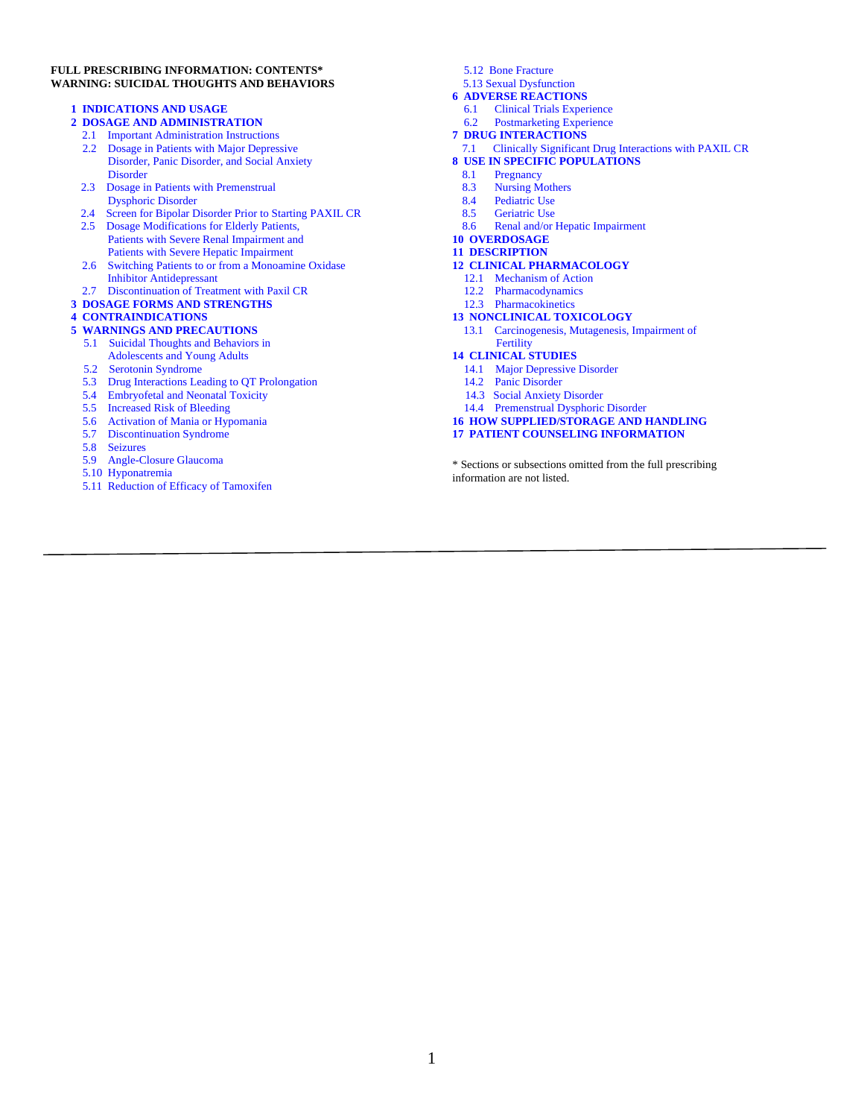#### **FULL PRESCRIBING INFORMATION: CONTENTS\* WARNING: SUICIDAL THOUGHTS AND BEHAVIORS**

#### **[1 INDICATIONS AND USAGE](#page-2-0)**

#### **[2 DOSAGE AND ADMINISTRATION](#page-2-5)**

- [2.1](#page-2-2) Important Administration Instructions
- 2.2 [Dosage in Patients with Major Depressive](#page-2-2) [Disorder, Panic Disorder, and Social Anxiety](#page-2-2) **[Disorder](#page-2-2)**
- [2.3 Dosage in Patients with Premenstrual](#page-2-3) [Dysphoric Disorder](#page-2-3)
- [2.4 Screen for Bipolar Disorder Prior to Starting PAXIL CR](#page-3-4)
- [2.5 Dosage Modifications](#page-3-0) for Elderly Patients, Patients [with Severe Renal Impairment and](#page-3-0)  [Patients with Severe Hepatic Impairment](#page-3-0)
- 2.6 Switching Patients [to or from a Monoamine Oxidase](#page-3-5)   [Inhibitor Antidepressant](#page-3-5)
- [2.7 Discontinuation of Treatment](#page-3-1) with Paxil CR
- **3 [DOSAGE FORMS AND STRENGTHS](#page-3-2)**

#### **[4 CONTRAINDICATIONS](#page-3-3)**

#### **[5 WARNINGS AND PRECAUTIONS](#page-4-2)**

- [5.1 Suicidal](#page-4-0) Thoughts and Behaviors in Adolescents and Young Adults
- [5.2 Serotonin Syndrome](#page-4-1)
- [5.3 Drug Interactions Leading to QT Prolongation](#page-5-0)
- [5.4 Embryofetal and Neonatal Toxicity](#page-5-1)
- [5.5 Increased Risk of Bleeding](#page-5-2)
- [5.6 Activation of Mania](#page-6-0) or Hypomania
- [5.7 Discontinuation S](#page-6-3)yndrome
- [5.8 Seizures](#page-6-1)
- [5.9 Angle-Closure Glaucoma](#page-6-2)
- 5.10 [Hyponatremia](#page-6-4)
- [5.11 Reduction of Efficacy of Tamoxifen](#page-7-1)

5.12 [Bone Fracture](#page-7-2)

[5.13 Sexual Dysfunction](#page-7-0)

#### **6 ADVERSE REACTIONS**

- 6.1 [Clinical Trials Experience](#page-8-0)
- 6.2 [Postmarketing Experience](#page-13-1)
- **7 [DRUG INTERACTIONS](#page-13-2)**
- [7.1 Clinically Significant Drug Interactions](#page-13-3) with PAXIL CR
- **[8 USE IN SPECIFIC POPULATIONS](#page-15-1)**
- 8.1 [Pregnancy](#page-15-0)<br>8.3 Nursing M
- 8.3 [Nursing Mothers](#page-17-1)<br>8.4 Pediatric Use
- 
- 8.4 [Pediatric Use](#page-17-0)<br>8.5 Geriatric Use 8.5 [Geriatric Use](#page-17-2)<br>8.6 Renal and/or
- 8.6 [Renal and/or Hepatic Impairment](#page-17-3)
- **[10 OVERDOSAGE](#page-18-0)**

#### **[11 DESCRIPTION](#page-18-1)**

#### **[12 CLINICAL PHARMACOLOGY](#page-19-0)**

- [12.1 Mechanism of Action](#page-19-1)
- [12.2 Pharmacodynamics](#page-19-2)
- [12.3 Pharmacokinetics](#page-19-3)

#### **[13 NONCLINICAL TOXICOLOGY](#page-22-0)**

 [13.1 Carcinogenesis, Mutagenesis, Impairment of](#page-22-1)   [Fertility](#page-22-1)

#### **[14 CLINICAL STUDIES](#page-23-0)**

- 14.1 [Major Depressive Disorder](#page-23-1)
- [14.2 Panic Disorder](#page-24-0)
- [14.3 Social Anxiety Disorder](#page-24-1)
- [14.4 Premenstrual Dysphoric Disorder](#page-25-1)
- **[16 HOW SUPPLIED/STORAGE AND HANDLING](#page-25-2)**
- **[17 PATIENT COUNSELING INFORMATION](#page-25-0)**

\* Sections or subsections omitted from the full prescribing information are not listed.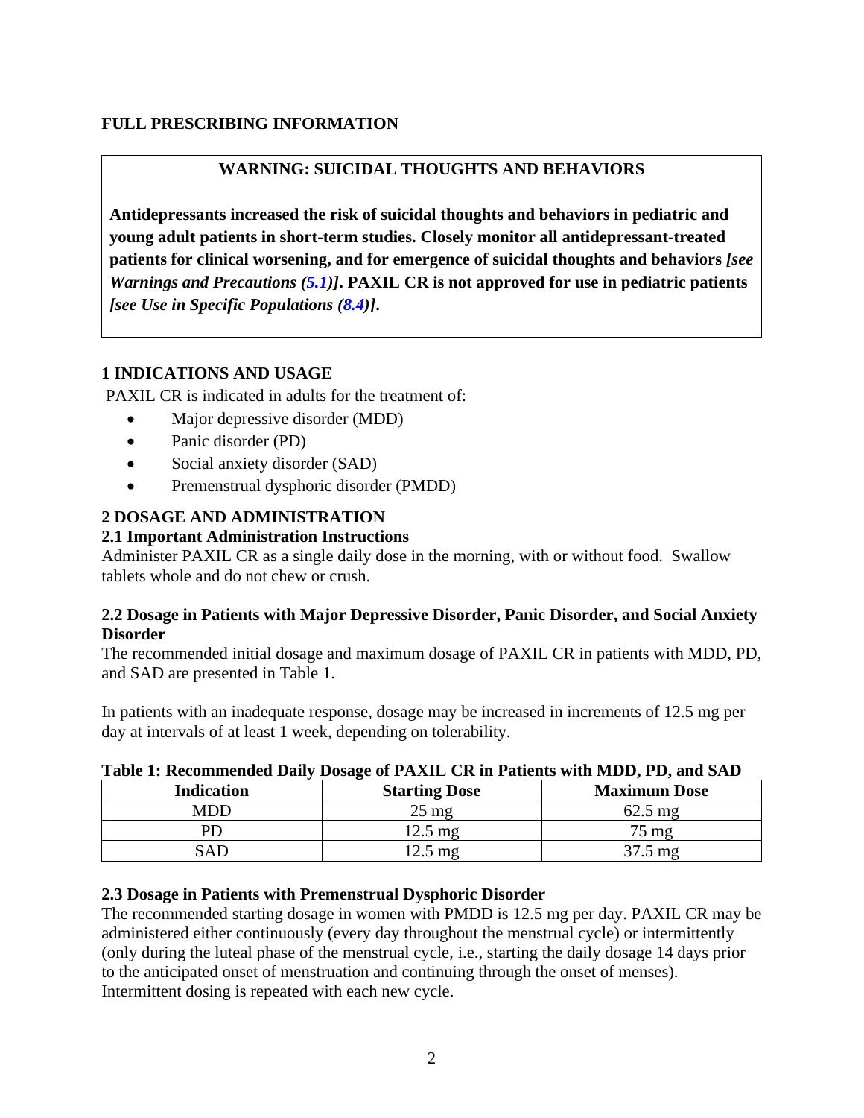# **FULL PRESCRIBING INFORMATION**

# **WARNING: SUICIDAL THOUGHTS AND BEHAVIORS**

**Antidepressants increased the risk of suicidal thoughts and behaviors in pediatric and young adult patients in short-term studies. Closely monitor all antidepressant-treated patients for clinical worsening, and for emergence of suicidal thoughts and behaviors** *[see Warnings and Precautions [\(5.1\)](#page-4-0)]***. PAXIL CR is not approved for use in pediatric patients**  *[see Use in Specific Populations [\(8.4\)](#page-17-0)]***.**

# <span id="page-2-0"></span>**1 INDICATIONS AND USAGE**

PAXIL CR is indicated in adults for the treatment of:

- Major depressive disorder (MDD)
- Panic disorder (PD)
- Social anxiety disorder (SAD)
- Premenstrual dysphoric disorder (PMDD)

# <span id="page-2-5"></span>**2 DOSAGE AND ADMINISTRATION**

# <span id="page-2-1"></span>**2.1 Important Administration Instructions**

Administer PAXIL CR as a single daily dose in the morning, with or without food. Swallow tablets whole and do not chew or crush.

## <span id="page-2-4"></span>**2.2 Dosage in Patients with Major Depressive Disorder, Panic Disorder, and Social Anxiety Disorder**

The recommended initial dosage and maximum dosage of PAXIL CR in patients with MDD, PD, and SAD are presented in Table 1.

In patients with an inadequate response, dosage may be increased in increments of 12.5 mg per day at intervals of at least 1 week, depending on tolerability.

| Table 1. Recommended Dairy Dosage of TAAIL CR in I adents with MDD, I D, and SAD |                      |                     |  |  |  |
|----------------------------------------------------------------------------------|----------------------|---------------------|--|--|--|
| <b>Indication</b>                                                                | <b>Starting Dose</b> | <b>Maximum Dose</b> |  |  |  |
| MDD                                                                              | $25 \text{ mg}$      | $62.5 \text{ mg}$   |  |  |  |
| PŊ                                                                               | $12.5 \text{ mg}$    | $75 \text{ mg}$     |  |  |  |
| SAD                                                                              | $12.5 \text{ mg}$    | $37.5 \text{ mg}$   |  |  |  |

## **Table 1: Recommended Daily Dosage of PAXIL CR in Patients with MDD, PD, and SAD**

## <span id="page-2-3"></span><span id="page-2-2"></span>**2.3 Dosage in Patients with Premenstrual Dysphoric Disorder**

The recommended starting dosage in women with PMDD is 12.5 mg per day. PAXIL CR may be administered either continuously (every day throughout the menstrual cycle) or intermittently (only during the luteal phase of the menstrual cycle, i.e., starting the daily dosage 14 days prior to the anticipated onset of menstruation and continuing through the onset of menses). Intermittent dosing is repeated with each new cycle.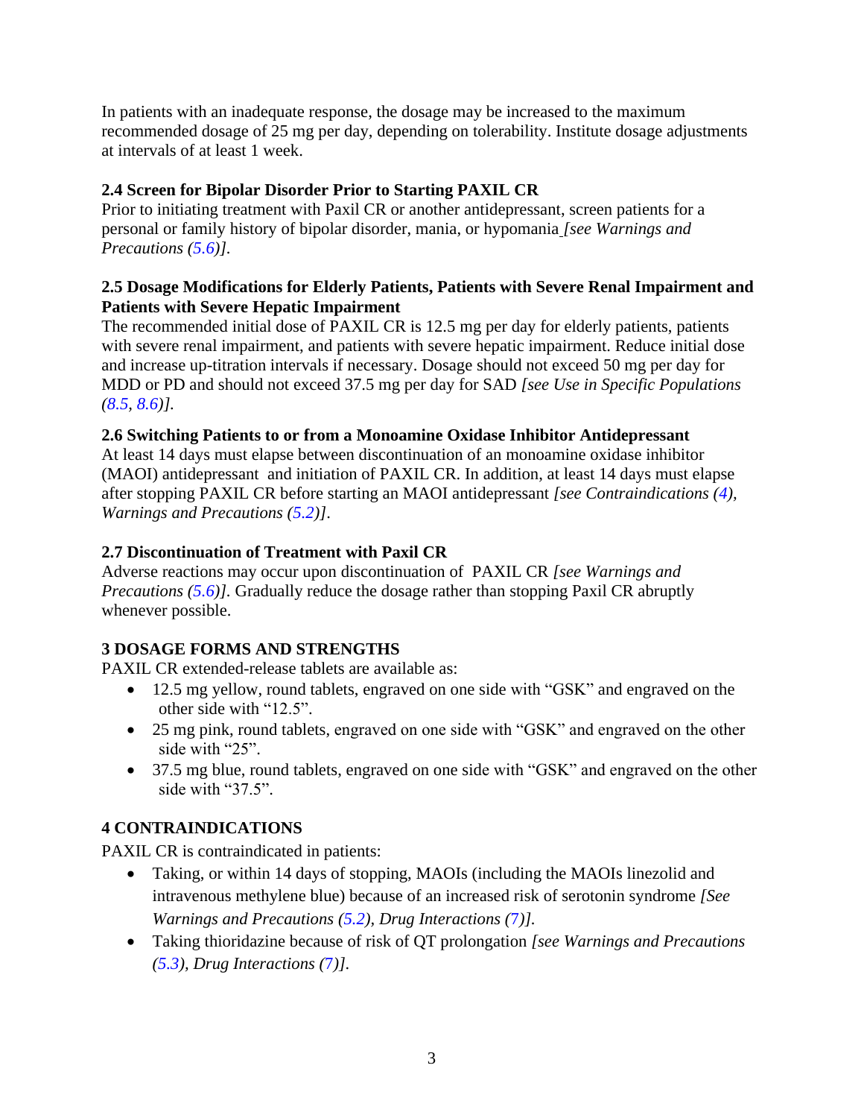In patients with an inadequate response, the dosage may be increased to the maximum recommended dosage of 25 mg per day, depending on tolerability. Institute dosage adjustments at intervals of at least 1 week.

# <span id="page-3-4"></span><span id="page-3-0"></span>**2.4 Screen for Bipolar Disorder Prior to Starting PAXIL CR**

Prior to initiating treatment with Paxil CR or another antidepressant, screen patients for a personal or family history of bipolar disorder, mania, or hypomania *[see Warnings and Precautions [\(5.6\)](#page-6-0)].*

## **2.5 Dosage Modifications for Elderly Patients, Patients with Severe Renal Impairment and Patients with Severe Hepatic Impairment**

The recommended initial dose of PAXIL CR is 12.5 mg per day for elderly patients, patients with severe renal impairment, and patients with severe hepatic impairment. Reduce initial dose and increase up-titration intervals if necessary. Dosage should not exceed 50 mg per day for MDD or PD and should not exceed 37.5 mg per day for SAD *[see Use in Specific Populations [\(8.5,](#page-17-2) [8.6\)](#page-17-3)].*

# <span id="page-3-5"></span>**2.6 Switching Patients to or from a Monoamine Oxidase Inhibitor Antidepressant**

At least 14 days must elapse between discontinuation of an monoamine oxidase inhibitor (MAOI) antidepressant and initiation of PAXIL CR. In addition, at least 14 days must elapse after stopping PAXIL CR before starting an MAOI antidepressant *[see Contraindications [\(4\)](#page-3-3), Warnings and Precautions [\(5.2\)](#page-4-1)]*.

# <span id="page-3-1"></span>**2.7 Discontinuation of Treatment with Paxil CR**

Adverse reactions may occur upon discontinuation of PAXIL CR *[see Warnings and Precautions [\(5.6\)](#page-6-3)].* Gradually reduce the dosage rather than stopping Paxil CR abruptly whenever possible.

# <span id="page-3-2"></span>**3 DOSAGE FORMS AND STRENGTHS**

PAXIL CR extended-release tablets are available as:

- 12.5 mg yellow, round tablets, engraved on one side with "GSK" and engraved on the other side with "12.5".
- 25 mg pink, round tablets, engraved on one side with "GSK" and engraved on the other side with "25".
- 37.5 mg blue, round tablets, engraved on one side with "GSK" and engraved on the other side with "37.5".

# <span id="page-3-3"></span>**4 CONTRAINDICATIONS**

PAXIL CR is contraindicated in patients:

- Taking, or within 14 days of stopping, MAOIs (including the MAOIs linezolid and intravenous methylene blue) because of an increased risk of serotonin syndrome *[See Warnings and Precautions [\(5.2\)](#page-4-1), Drug Interactions (*[7](#page-13-0)*)].*
- Taking thioridazine because of risk of QT prolongation *[see Warnings and Precautions [\(5.3\)](#page-7-3), Drug Interactions (*[7](#page-13-0)*)].*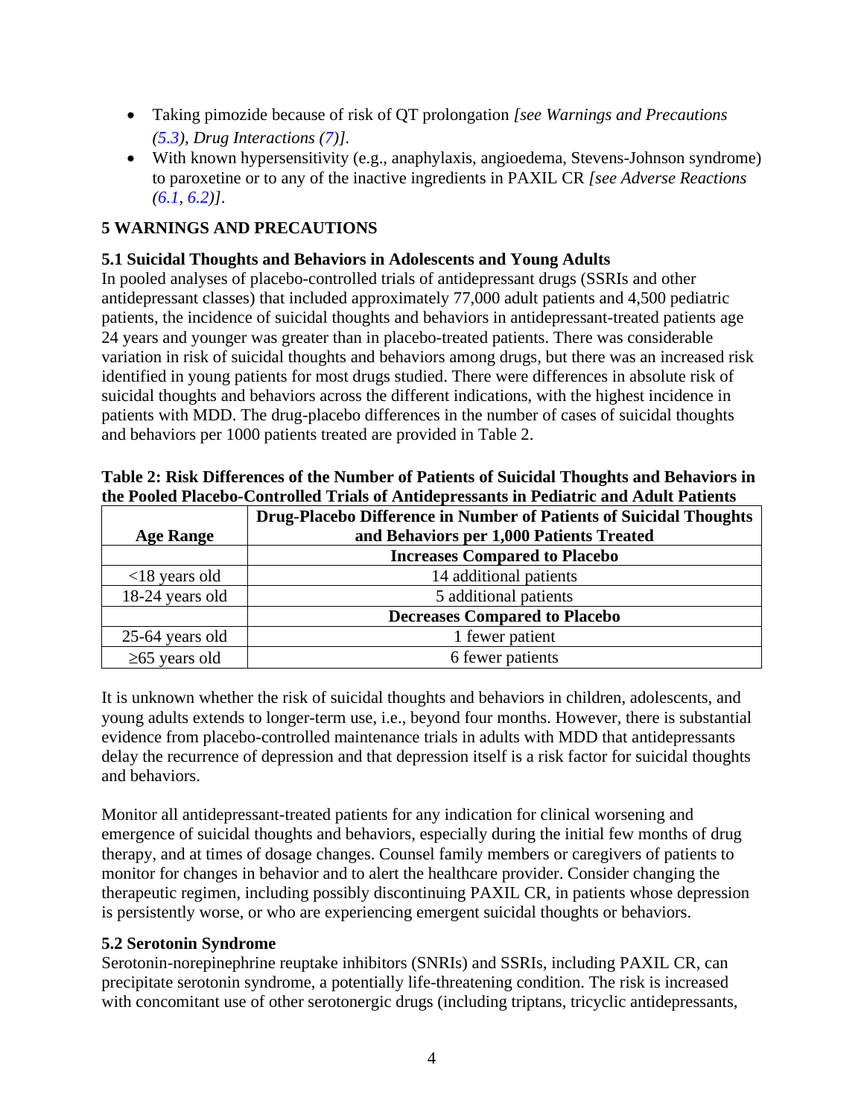- Taking pimozide because of risk of QT prolongation *[see Warnings and Precautions [\(5.3\)](#page-5-0), Drug Interactions [\(7\)](#page-13-0)].*
- With known hypersensitivity (e.g., anaphylaxis, angioedema, Stevens-Johnson syndrome) to paroxetine or to any of the inactive ingredients in PAXIL CR *[see Adverse Reactions [\(6.1,](#page-8-0) [6.2\)](#page-13-1)]*.

# <span id="page-4-2"></span>**5 WARNINGS AND PRECAUTIONS**

# <span id="page-4-0"></span>**5.1 Suicidal Thoughts and Behaviors in Adolescents and Young Adults**

In pooled analyses of placebo-controlled trials of antidepressant drugs (SSRIs and other antidepressant classes) that included approximately 77,000 adult patients and 4,500 pediatric patients, the incidence of suicidal thoughts and behaviors in antidepressant-treated patients age 24 years and younger was greater than in placebo-treated patients. There was considerable variation in risk of suicidal thoughts and behaviors among drugs, but there was an increased risk identified in young patients for most drugs studied. There were differences in absolute risk of suicidal thoughts and behaviors across the different indications, with the highest incidence in patients with MDD. The drug-placebo differences in the number of cases of suicidal thoughts and behaviors per 1000 patients treated are provided in Table 2.

|                     | the I boled I facebo-Controlled Trials of Anthlept essants in I culatiful and Aquit I attents |
|---------------------|-----------------------------------------------------------------------------------------------|
|                     | <b>Drug-Placebo Difference in Number of Patients of Suicidal Thoughts</b>                     |
| <b>Age Range</b>    | and Behaviors per 1,000 Patients Treated                                                      |
|                     | <b>Increases Compared to Placebo</b>                                                          |
| $<$ 18 years old    | 14 additional patients                                                                        |
| 18-24 years old     | 5 additional patients                                                                         |
|                     | <b>Decreases Compared to Placebo</b>                                                          |
| 25-64 years old     | 1 fewer patient                                                                               |
| $\geq 65$ years old | 6 fewer patients                                                                              |

| Table 2: Risk Differences of the Number of Patients of Suicidal Thoughts and Behaviors in |
|-------------------------------------------------------------------------------------------|
| the Pooled Placebo-Controlled Trials of Antidepressants in Pediatric and Adult Patients   |

It is unknown whether the risk of suicidal thoughts and behaviors in children, adolescents, and young adults extends to longer-term use, i.e., beyond four months. However, there is substantial evidence from placebo-controlled maintenance trials in adults with MDD that antidepressants delay the recurrence of depression and that depression itself is a risk factor for suicidal thoughts and behaviors.

Monitor all antidepressant-treated patients for any indication for clinical worsening and emergence of suicidal thoughts and behaviors, especially during the initial few months of drug therapy, and at times of dosage changes. Counsel family members or caregivers of patients to monitor for changes in behavior and to alert the healthcare provider. Consider changing the therapeutic regimen, including possibly discontinuing PAXIL CR, in patients whose depression is persistently worse, or who are experiencing emergent suicidal thoughts or behaviors.

# <span id="page-4-1"></span>**5.2 Serotonin Syndrome**

Serotonin-norepinephrine reuptake inhibitors (SNRIs) and SSRIs, including PAXIL CR, can precipitate serotonin syndrome, a potentially life-threatening condition. The risk is increased with concomitant use of other serotonergic drugs (including triptans, tricyclic antidepressants,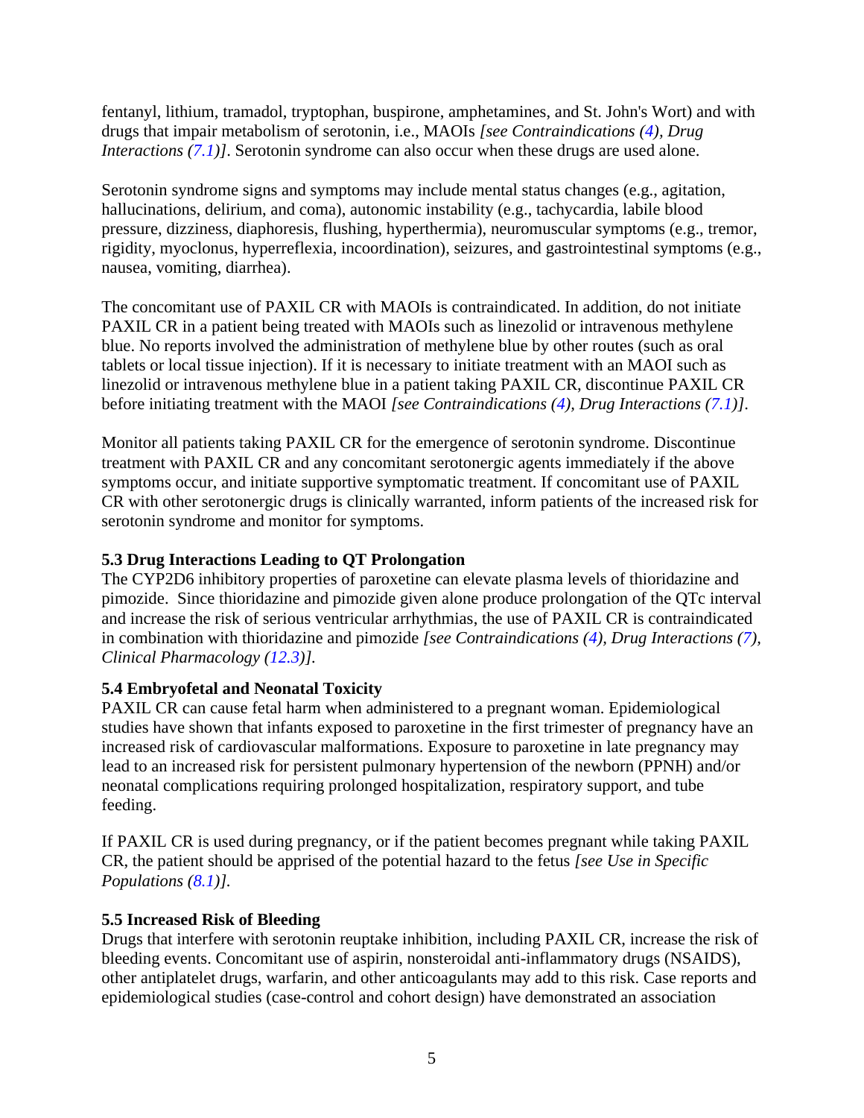fentanyl, lithium, tramadol, tryptophan, buspirone, amphetamines, and St. John's Wort) and with drugs that impair metabolism of serotonin, i.e., MAOIs *[see Contraindications [\(4\)](#page-3-3), Drug Interactions [\(7.1\)](#page-13-3)]*. Serotonin syndrome can also occur when these drugs are used alone.

Serotonin syndrome signs and symptoms may include mental status changes (e.g., agitation, hallucinations, delirium, and coma), autonomic instability (e.g., tachycardia, labile blood pressure, dizziness, diaphoresis, flushing, hyperthermia), neuromuscular symptoms (e.g., tremor, rigidity, myoclonus, hyperreflexia, incoordination), seizures, and gastrointestinal symptoms (e.g., nausea, vomiting, diarrhea).

The concomitant use of PAXIL CR with MAOIs is contraindicated. In addition, do not initiate PAXIL CR in a patient being treated with MAOIs such as linezolid or intravenous methylene blue. No reports involved the administration of methylene blue by other routes (such as oral tablets or local tissue injection). If it is necessary to initiate treatment with an MAOI such as linezolid or intravenous methylene blue in a patient taking PAXIL CR, discontinue PAXIL CR before initiating treatment with the MAOI *[see Contraindications [\(4\)](#page-3-3), Drug Interactions [\(7.1\)](#page-13-3)]*.

Monitor all patients taking PAXIL CR for the emergence of serotonin syndrome. Discontinue treatment with PAXIL CR and any concomitant serotonergic agents immediately if the above symptoms occur, and initiate supportive symptomatic treatment. If concomitant use of PAXIL CR with other serotonergic drugs is clinically warranted, inform patients of the increased risk for serotonin syndrome and monitor for symptoms.

# <span id="page-5-0"></span>**5.3 Drug Interactions Leading to QT Prolongation**

The CYP2D6 inhibitory properties of paroxetine can elevate plasma levels of thioridazine and pimozide. Since thioridazine and pimozide given alone produce prolongation of the QTc interval and increase the risk of serious ventricular arrhythmias, the use of PAXIL CR is contraindicated in combination with thioridazine and pimozide *[see Contraindications [\(4\)](#page-3-3), Drug Interactions [\(7\)](#page-13-0), Clinical Pharmacology [\(12.3\)](#page-19-3)].*

## <span id="page-5-1"></span>**5.4 Embryofetal and Neonatal Toxicity**

PAXIL CR can cause fetal harm when administered to a pregnant woman. Epidemiological studies have shown that infants exposed to paroxetine in the first trimester of pregnancy have an increased risk of cardiovascular malformations. Exposure to paroxetine in late pregnancy may lead to an increased risk for persistent pulmonary hypertension of the newborn (PPNH) and/or neonatal complications requiring prolonged hospitalization, respiratory support, and tube feeding.

If PAXIL CR is used during pregnancy, or if the patient becomes pregnant while taking PAXIL CR, the patient should be apprised of the potential hazard to the fetus *[see Use in Specific Populations [\(8.1\)](#page-15-0)].*

## <span id="page-5-2"></span>**5.5 Increased Risk of Bleeding**

Drugs that interfere with serotonin reuptake inhibition, including PAXIL CR, increase the risk of bleeding events. Concomitant use of aspirin, nonsteroidal anti-inflammatory drugs (NSAIDS), other antiplatelet drugs, warfarin, and other anticoagulants may add to this risk. Case reports and epidemiological studies (case-control and cohort design) have demonstrated an association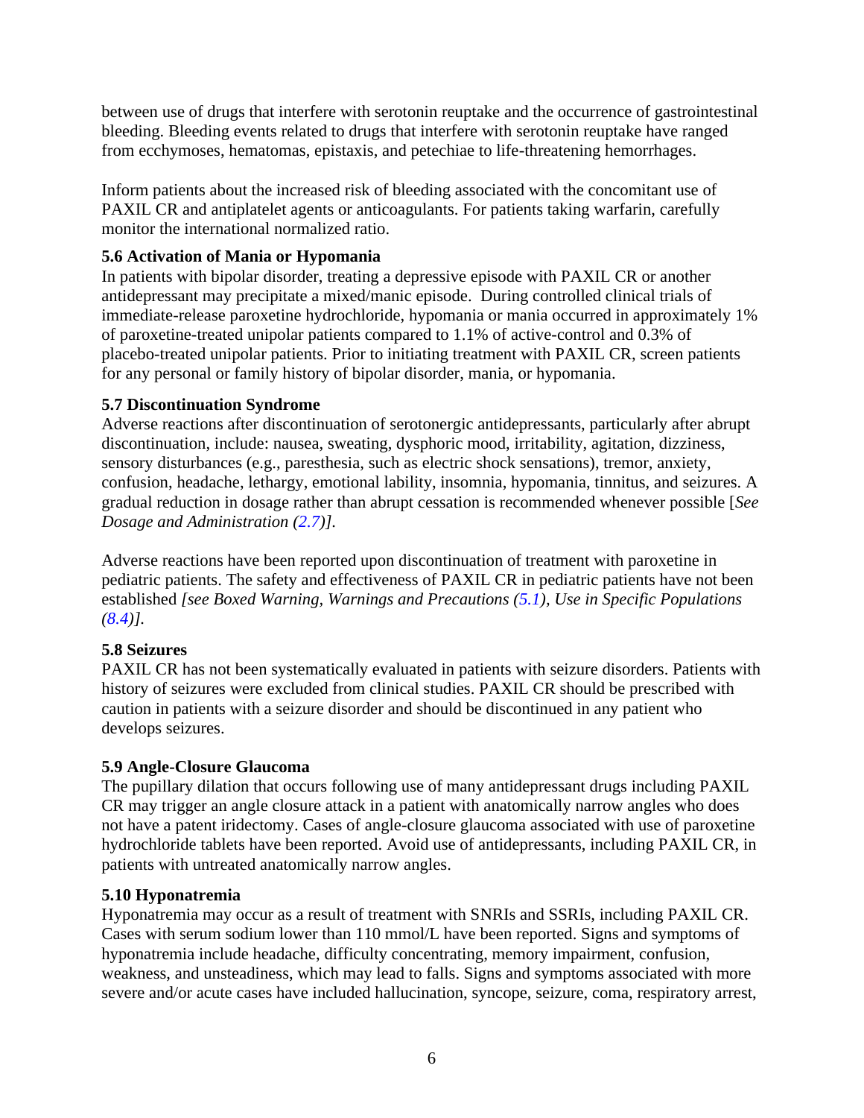between use of drugs that interfere with serotonin reuptake and the occurrence of gastrointestinal bleeding. Bleeding events related to drugs that interfere with serotonin reuptake have ranged from ecchymoses, hematomas, epistaxis, and petechiae to life-threatening hemorrhages.

Inform patients about the increased risk of bleeding associated with the concomitant use of PAXIL CR and antiplatelet agents or anticoagulants. For patients taking warfarin, carefully monitor the international normalized ratio.

# <span id="page-6-0"></span>**5.6 Activation of Mania or Hypomania**

In patients with bipolar disorder, treating a depressive episode with PAXIL CR or another antidepressant may precipitate a mixed/manic episode. During controlled clinical trials of immediate-release paroxetine hydrochloride, hypomania or mania occurred in approximately 1% of paroxetine-treated unipolar patients compared to 1.1% of active-control and 0.3% of placebo-treated unipolar patients. Prior to initiating treatment with PAXIL CR, screen patients for any personal or family history of bipolar disorder, mania, or hypomania.

# <span id="page-6-3"></span>**5.7 Discontinuation Syndrome**

Adverse reactions after discontinuation of serotonergic antidepressants, particularly after abrupt discontinuation, include: nausea, sweating, dysphoric mood, irritability, agitation, dizziness, sensory disturbances (e.g., paresthesia, such as electric shock sensations), tremor, anxiety, confusion, headache, lethargy, emotional lability, insomnia, hypomania, tinnitus, and seizures. A gradual reduction in dosage rather than abrupt cessation is recommended whenever possible [*See Dosage and Administration [\(2.7\)](#page-3-1)].*

Adverse reactions have been reported upon discontinuation of treatment with paroxetine in pediatric patients. The safety and effectiveness of PAXIL CR in pediatric patients have not been established *[see Boxed Warning, Warnings and Precautions [\(5.1\)](#page-4-0), Use in Specific Populations [\(8.4\)](#page-17-0)].*

# <span id="page-6-1"></span>**5.8 Seizures**

PAXIL CR has not been systematically evaluated in patients with seizure disorders. Patients with history of seizures were excluded from clinical studies. PAXIL CR should be prescribed with caution in patients with a seizure disorder and should be discontinued in any patient who develops seizures.

# <span id="page-6-2"></span>**5.9 Angle-Closure Glaucoma**

The pupillary dilation that occurs following use of many antidepressant drugs including PAXIL CR may trigger an angle closure attack in a patient with anatomically narrow angles who does not have a patent iridectomy. Cases of angle-closure glaucoma associated with use of paroxetine hydrochloride tablets have been reported. Avoid use of antidepressants, including PAXIL CR, in patients with untreated anatomically narrow angles.

# <span id="page-6-4"></span>**5.10 Hyponatremia**

Hyponatremia may occur as a result of treatment with SNRIs and SSRIs, including PAXIL CR. Cases with serum sodium lower than 110 mmol/L have been reported. Signs and symptoms of hyponatremia include headache, difficulty concentrating, memory impairment, confusion, weakness, and unsteadiness, which may lead to falls. Signs and symptoms associated with more severe and/or acute cases have included hallucination, syncope, seizure, coma, respiratory arrest,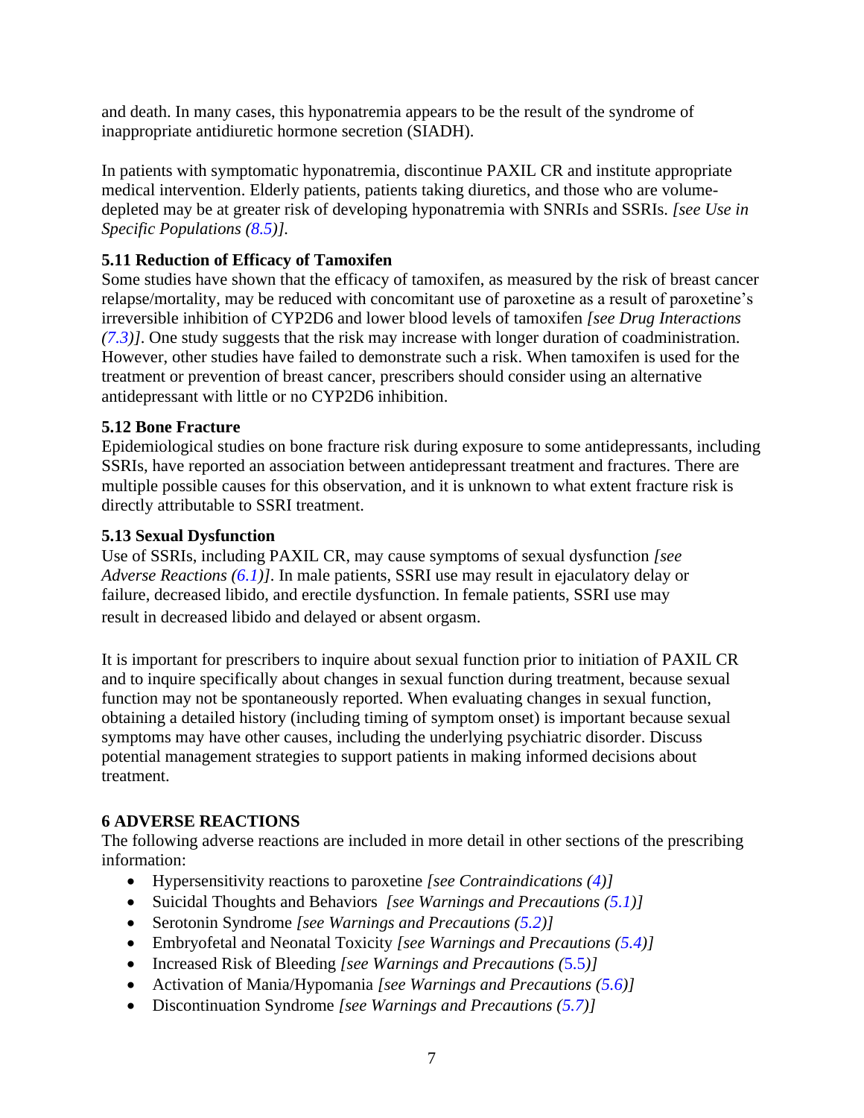and death. In many cases, this hyponatremia appears to be the result of the syndrome of inappropriate antidiuretic hormone secretion (SIADH).

In patients with symptomatic hyponatremia, discontinue PAXIL CR and institute appropriate medical intervention. Elderly patients, patients taking diuretics, and those who are volumedepleted may be at greater risk of developing hyponatremia with SNRIs and SSRIs. *[see Use in Specific Populations [\(8.5\)](#page-17-2)].*

# <span id="page-7-1"></span>**5.11 Reduction of Efficacy of Tamoxifen**

Some studies have shown that the efficacy of tamoxifen, as measured by the risk of breast cancer relapse/mortality, may be reduced with concomitant use of paroxetine as a result of paroxetine's irreversible inhibition of CYP2D6 and lower blood levels of tamoxifen *[see Drug Interactions [\(7.3\)](#page-15-1)]*. One study suggests that the risk may increase with longer duration of coadministration. However, other studies have failed to demonstrate such a risk. When tamoxifen is used for the treatment or prevention of breast cancer, prescribers should consider using an alternative antidepressant with little or no CYP2D6 inhibition.

# <span id="page-7-2"></span>**5.12 Bone Fracture**

Epidemiological studies on bone fracture risk during exposure to some antidepressants, including SSRIs, have reported an association between antidepressant treatment and fractures. There are multiple possible causes for this observation, and it is unknown to what extent fracture risk is directly attributable to SSRI treatment.

# <span id="page-7-0"></span>**5.13 Sexual Dysfunction**

Use of SSRIs, including PAXIL CR, may cause symptoms of sexual dysfunction *[see Adverse Reactions [\(6.1\)](#page-8-0)]*. In male patients, SSRI use may result in ejaculatory delay or failure, decreased libido, and erectile dysfunction. In female patients, SSRI use may result in decreased libido and delayed or absent orgasm.

<span id="page-7-4"></span>It is important for prescribers to inquire about sexual function prior to initiation of PAXIL CR and to inquire specifically about changes in sexual function during treatment, because sexual function may not be spontaneously reported. When evaluating changes in sexual function, obtaining a detailed history (including timing of symptom onset) is important because sexual symptoms may have other causes, including the underlying psychiatric disorder. Discuss potential management strategies to support patients in making informed decisions about treatment.

# <span id="page-7-3"></span>**6 ADVERSE REACTIONS**

The following adverse reactions are included in more detail in other sections of the prescribing information:

- Hypersensitivity reactions to paroxetine *[see Contraindications [\(4\)](#page-3-3)]*
- Suicidal Thoughts and Behaviors *[see Warnings and Precautions [\(5.1\)](#page-4-0)]*
- Serotonin Syndrome *[see Warnings and Precautions [\(5.2\)](#page-4-1)]*
- Embryofetal and Neonatal Toxicity *[see Warnings and Precautions [\(5.4\)](#page-4-1)]*
- Increased Risk of Bleeding *[see Warnings and Precautions (*[5.5](#page-5-2)*)]*
- Activation of Mania/Hypomania *[see Warnings and Precautions [\(5.6\)](#page-6-0)]*
- Discontinuation Syndrome *[see Warnings and Precautions [\(5.7\)](#page-6-3)]*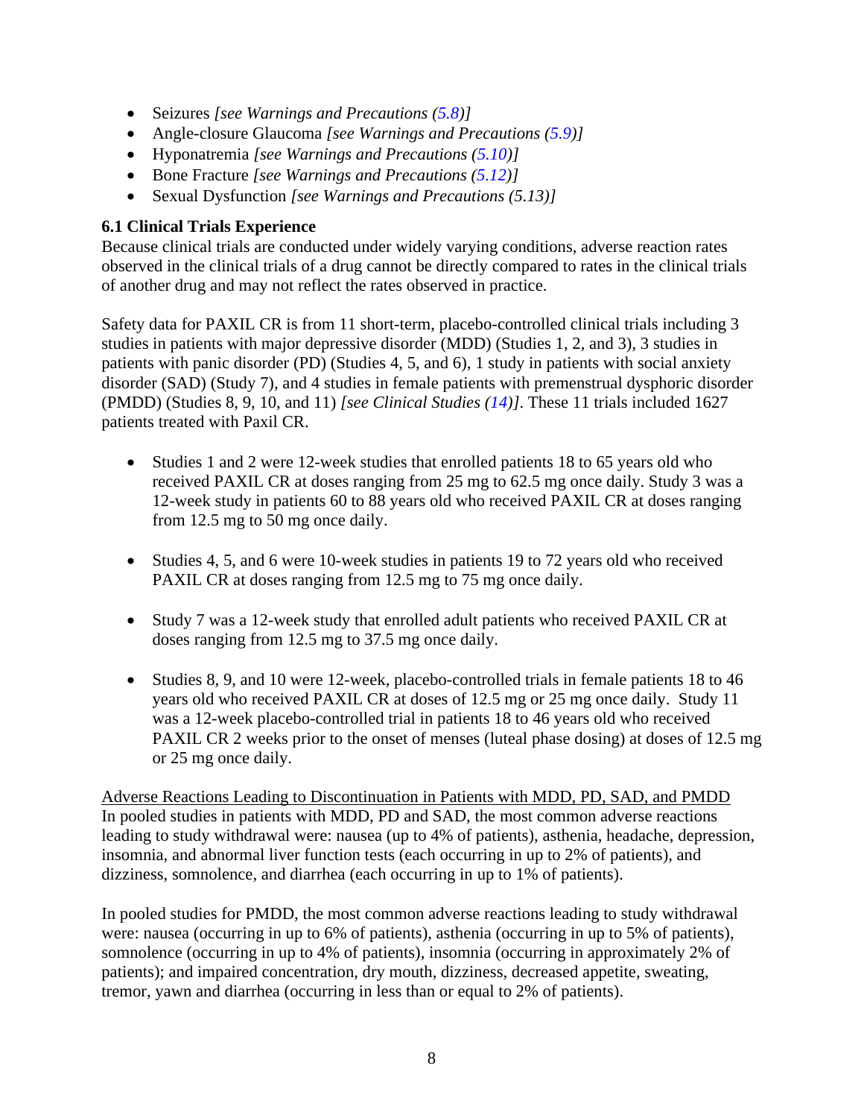- Seizures *[see Warnings and Precautions [\(5.8\)](#page-6-3)]*
- Angle-closure Glaucoma *[see Warnings and Precautions [\(5.9\)](#page-7-4)]*
- Hyponatremia *[see Warnings and Precautions [\(5.10\)](#page-6-4)]*
- Bone Fracture *[see Warnings and Precautions [\(5.12\)](#page-7-2)]*
- Sexual Dysfunction *[see Warnings and Precautions (5.13)]*

# <span id="page-8-0"></span>**6.1 Clinical Trials Experience**

Because clinical trials are conducted under widely varying conditions, adverse reaction rates observed in the clinical trials of a drug cannot be directly compared to rates in the clinical trials of another drug and may not reflect the rates observed in practice.

Safety data for PAXIL CR is from 11 short-term, placebo-controlled clinical trials including 3 studies in patients with major depressive disorder (MDD) (Studies 1, 2, and 3), 3 studies in patients with panic disorder (PD) (Studies 4, 5, and 6), 1 study in patients with social anxiety disorder (SAD) (Study 7), and 4 studies in female patients with premenstrual dysphoric disorder (PMDD) (Studies 8, 9, 10, and 11) *[see Clinical Studies [\(14\)](#page-23-0)]*. These 11 trials included 1627 patients treated with Paxil CR.

- Studies 1 and 2 were 12-week studies that enrolled patients 18 to 65 years old who received PAXIL CR at doses ranging from 25 mg to 62.5 mg once daily. Study 3 was a 12-week study in patients 60 to 88 years old who received PAXIL CR at doses ranging from 12.5 mg to 50 mg once daily.
- Studies 4, 5, and 6 were 10-week studies in patients 19 to 72 years old who received PAXIL CR at doses ranging from 12.5 mg to 75 mg once daily.
- Study 7 was a 12-week study that enrolled adult patients who received PAXIL CR at doses ranging from 12.5 mg to 37.5 mg once daily.
- Studies 8, 9, and 10 were 12-week, placebo-controlled trials in female patients 18 to 46 years old who received PAXIL CR at doses of 12.5 mg or 25 mg once daily. Study 11 was a 12-week placebo-controlled trial in patients 18 to 46 years old who received PAXIL CR 2 weeks prior to the onset of menses (luteal phase dosing) at doses of 12.5 mg or 25 mg once daily.

Adverse Reactions Leading to Discontinuation in Patients with MDD, PD, SAD, and PMDD In pooled studies in patients with MDD, PD and SAD, the most common adverse reactions leading to study withdrawal were: nausea (up to 4% of patients), asthenia, headache, depression, insomnia, and abnormal liver function tests (each occurring in up to 2% of patients), and dizziness, somnolence, and diarrhea (each occurring in up to 1% of patients).

In pooled studies for PMDD, the most common adverse reactions leading to study withdrawal were: nausea (occurring in up to 6% of patients), asthenia (occurring in up to 5% of patients), somnolence (occurring in up to 4% of patients), insomnia (occurring in approximately 2% of patients); and impaired concentration, dry mouth, dizziness, decreased appetite, sweating, tremor, yawn and diarrhea (occurring in less than or equal to 2% of patients).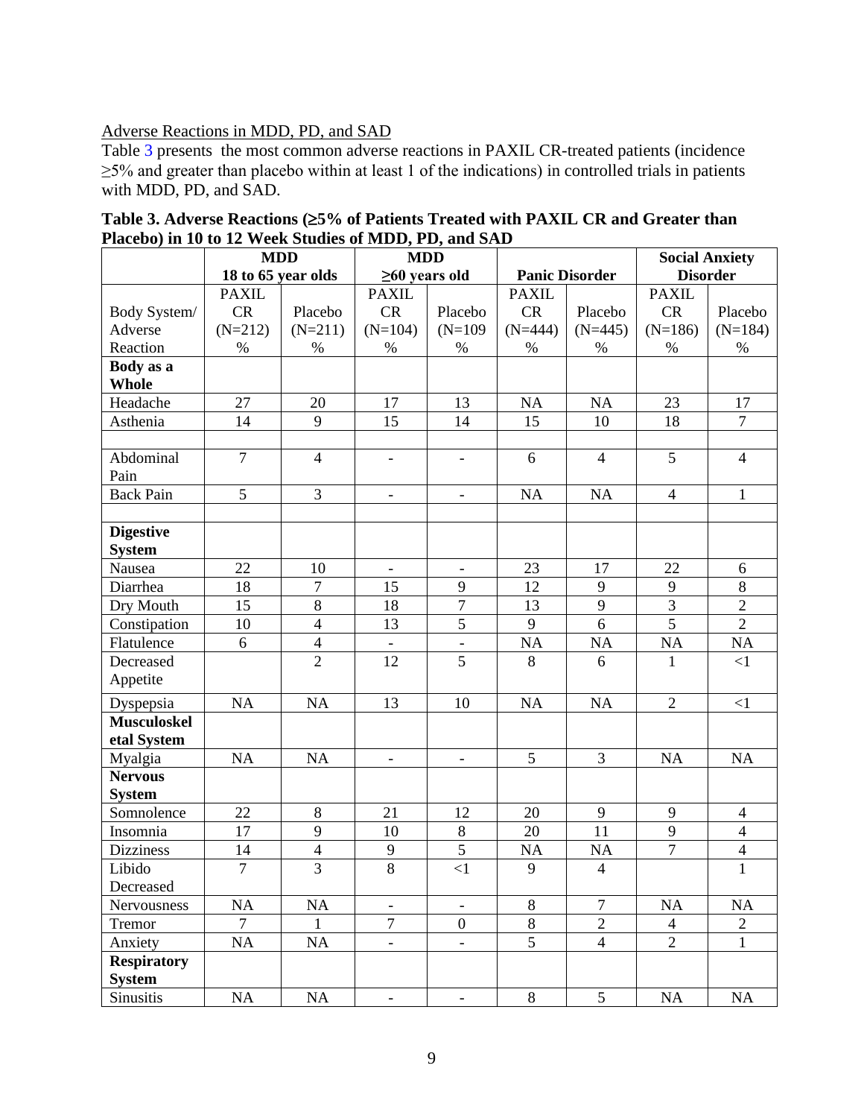## Adverse Reactions in MDD, PD, and SAD

Table 3 presents the most common adverse reactions in PAXIL CR-treated patients (incidence ≥5% and greater than placebo within at least 1 of the indications) in controlled trials in patients with MDD, PD, and SAD.

|                    | <b>MDD</b>     |                    | <b>MDD</b>               |                          |                       |                | <b>Social Anxiety</b> |                 |
|--------------------|----------------|--------------------|--------------------------|--------------------------|-----------------------|----------------|-----------------------|-----------------|
|                    |                | 18 to 65 year olds |                          | $\geq 60$ years old      | <b>Panic Disorder</b> |                |                       | <b>Disorder</b> |
|                    | <b>PAXIL</b>   |                    | <b>PAXIL</b>             |                          | <b>PAXIL</b>          |                | <b>PAXIL</b>          |                 |
| Body System/       | <b>CR</b>      | Placebo            | CR                       | Placebo                  | <b>CR</b>             | Placebo        | CR                    | Placebo         |
| Adverse            | $(N=212)$      | $(N=211)$          | $(N=104)$                | $(N=109)$                | $(N=444)$             | $(N=445)$      | $(N=186)$             | $(N=184)$       |
| Reaction           | $\%$           | $\%$               | $\%$                     | $\%$                     | $\%$                  | $\%$           | $\%$                  | $\%$            |
| Body as a          |                |                    |                          |                          |                       |                |                       |                 |
| <b>Whole</b>       |                |                    |                          |                          |                       |                |                       |                 |
| Headache           | 27             | 20                 | 17                       | 13                       | NA                    | <b>NA</b>      | 23                    | 17              |
| Asthenia           | 14             | 9                  | 15                       | 14                       | 15                    | 10             | 18                    | $\tau$          |
|                    |                |                    |                          |                          |                       |                |                       |                 |
| Abdominal          | $\overline{7}$ | $\overline{4}$     | $\qquad \qquad -$        | $\overline{\phantom{a}}$ | 6                     | $\overline{4}$ | 5                     | $\overline{4}$  |
| Pain               |                |                    |                          |                          |                       |                |                       |                 |
| <b>Back Pain</b>   | 5              | 3                  | $\overline{\phantom{0}}$ | $\qquad \qquad -$        | NA                    | NA             | $\overline{4}$        | $\mathbf{1}$    |
|                    |                |                    |                          |                          |                       |                |                       |                 |
| <b>Digestive</b>   |                |                    |                          |                          |                       |                |                       |                 |
| <b>System</b>      |                |                    |                          |                          |                       |                |                       |                 |
| Nausea             | 22             | 10                 | $\overline{\phantom{a}}$ |                          | 23                    | 17             | 22                    | 6               |
| Diarrhea           | 18             | $\tau$             | 15                       | 9                        | 12                    | 9              | 9                     | $8\,$           |
| Dry Mouth          | 15             | $8\,$              | 18                       | $\tau$                   | 13                    | 9              | $\overline{3}$        | $\overline{2}$  |
| Constipation       | 10             | $\overline{4}$     | 13                       | 5                        | 9                     | 6              | $\overline{5}$        | $\overline{2}$  |
| Flatulence         | 6              | $\overline{4}$     |                          |                          | <b>NA</b>             | NA             | NA                    | NA              |
| Decreased          |                | $\overline{2}$     | 12                       | 5                        | 8                     | 6              | 1                     | <1              |
| Appetite           |                |                    |                          |                          |                       |                |                       |                 |
| Dyspepsia          | NA             | NA                 | 13                       | 10                       | NA                    | NA             | $\overline{2}$        | $<$ 1           |
| <b>Musculoskel</b> |                |                    |                          |                          |                       |                |                       |                 |
| etal System        |                |                    |                          |                          |                       |                |                       |                 |
| Myalgia            | NA             | NA                 | $\overline{\phantom{a}}$ | $\overline{\phantom{a}}$ | 5                     | 3              | NA                    | NA              |
| <b>Nervous</b>     |                |                    |                          |                          |                       |                |                       |                 |
| <b>System</b>      |                |                    |                          |                          |                       |                |                       |                 |
| Somnolence         | 22             | 8                  | 21                       | 12                       | 20                    | 9              | 9                     | $\overline{4}$  |
| Insomnia           | 17             | 9                  | 10                       | $\,8\,$                  | 20                    | 11             | 9                     | $\overline{4}$  |
| <b>Dizziness</b>   | 14             | $\overline{4}$     | $\mathbf{9}$             | $\overline{5}$           | <b>NA</b>             | <b>NA</b>      | $\overline{7}$        | $\overline{4}$  |
| Libido             | $\overline{7}$ | $\overline{3}$     | $\overline{8}$           | $\leq$ 1                 | 9                     | $\overline{4}$ |                       | $\mathbf{1}$    |
| Decreased          |                |                    |                          |                          |                       |                |                       |                 |
| Nervousness        | NA             | NA                 | $\overline{\phantom{a}}$ |                          | 8                     | $\overline{7}$ | NA                    | NA              |
| Tremor             | $\overline{7}$ | 1                  | $\overline{7}$           | $\overline{0}$           | 8                     | $\overline{2}$ | $\overline{4}$        | $\overline{2}$  |
| Anxiety            | NA             | NA                 | $\blacksquare$           | $\overline{\phantom{a}}$ | 5                     | $\overline{4}$ | $\overline{2}$        | $\mathbf{1}$    |
| <b>Respiratory</b> |                |                    |                          |                          |                       |                |                       |                 |
| <b>System</b>      |                |                    |                          |                          |                       |                |                       |                 |
| Sinusitis          | NA             | NA                 | $\overline{\phantom{a}}$ | $\overline{\phantom{a}}$ | 8                     | 5              | NA                    | NA              |

**Table 3. Adverse Reactions (5% of Patients Treated with PAXIL CR and Greater than Placebo) in 10 to 12 Week Studies of MDD, PD, and SAD**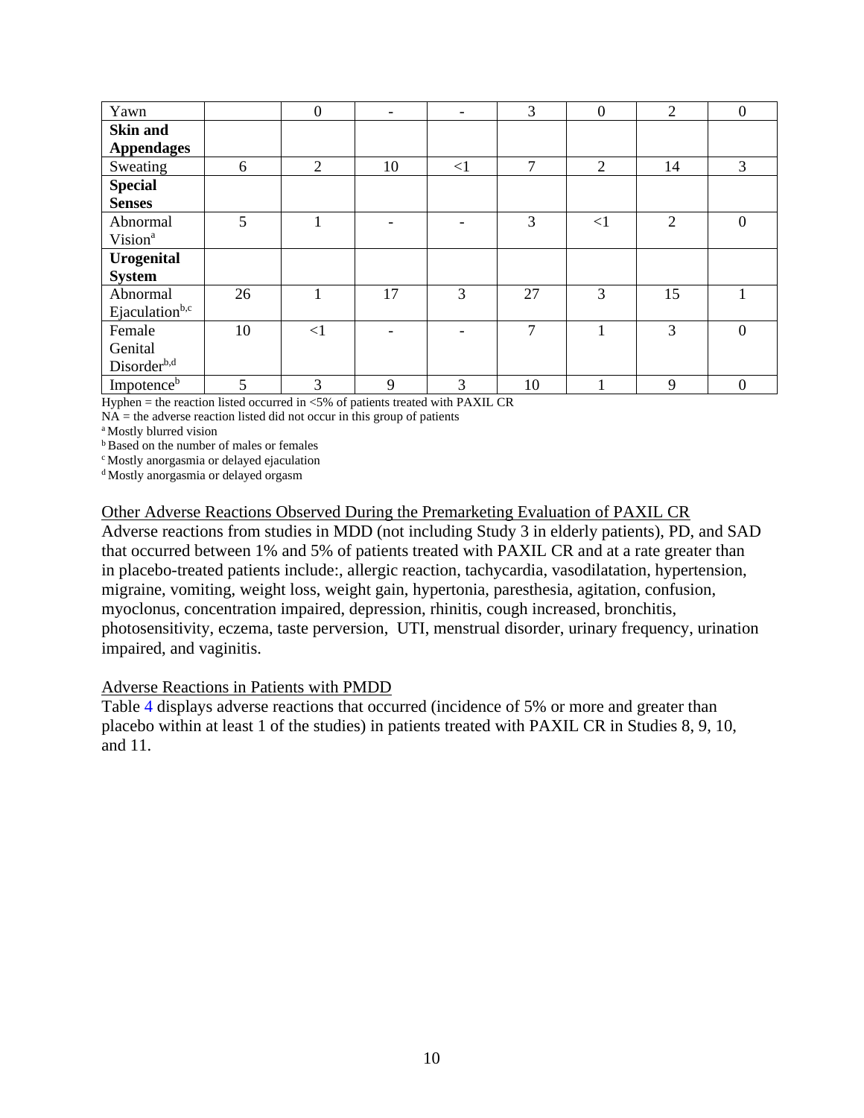| Yawn                       |    | $\boldsymbol{0}$ | $\overline{\phantom{a}}$ | $\overline{\phantom{a}}$ | 3             | $\boldsymbol{0}$ | $\overline{2}$ | $\boldsymbol{0}$ |
|----------------------------|----|------------------|--------------------------|--------------------------|---------------|------------------|----------------|------------------|
| <b>Skin and</b>            |    |                  |                          |                          |               |                  |                |                  |
| <b>Appendages</b>          |    |                  |                          |                          |               |                  |                |                  |
| Sweating                   | 6  | $\overline{2}$   | 10                       | <1                       | $\mathcal{I}$ | $\overline{2}$   | 14             | 3                |
| <b>Special</b>             |    |                  |                          |                          |               |                  |                |                  |
| <b>Senses</b>              |    |                  |                          |                          |               |                  |                |                  |
| Abnormal                   | 5  |                  |                          |                          | 3             | $\leq$ 1         | 2              | $\Omega$         |
| Vision <sup>a</sup>        |    |                  |                          |                          |               |                  |                |                  |
| Urogenital                 |    |                  |                          |                          |               |                  |                |                  |
| <b>System</b>              |    |                  |                          |                          |               |                  |                |                  |
| Abnormal                   | 26 |                  | 17                       | 3                        | 27            | 3                | 15             |                  |
| Ejaculation <sup>b,c</sup> |    |                  |                          |                          |               |                  |                |                  |
| Female                     | 10 | $\leq$ 1         |                          |                          | $\tau$        | и                | 3              | $\Omega$         |
| Genital                    |    |                  |                          |                          |               |                  |                |                  |
| Disorder <sup>b,d</sup>    |    |                  |                          |                          |               |                  |                |                  |
| Impotence <sup>b</sup>     | 5  | 3                | 9                        | 3                        | 10            |                  | 9              | $\mathbf{0}$     |

Hyphen = the reaction listed occurred in  $< 5\%$  of patients treated with PAXIL CR

 $NA =$  the adverse reaction listed did not occur in this group of patients

<sup>a</sup> Mostly blurred vision

**b**Based on the number of males or females

<sup>c</sup>Mostly anorgasmia or delayed ejaculation

<sup>d</sup>Mostly anorgasmia or delayed orgasm

#### Other Adverse Reactions Observed During the Premarketing Evaluation of PAXIL CR

Adverse reactions from studies in MDD (not including Study 3 in elderly patients), PD, and SAD that occurred between 1% and 5% of patients treated with PAXIL CR and at a rate greater than in placebo-treated patients include:, allergic reaction, tachycardia, vasodilatation, hypertension, migraine, vomiting, weight loss, weight gain, hypertonia, paresthesia, agitation, confusion, myoclonus, concentration impaired, depression, rhinitis, cough increased, bronchitis, photosensitivity, eczema, taste perversion, UTI, menstrual disorder, urinary frequency, urination impaired, and vaginitis.

#### Adverse Reactions in Patients with PMDD

Table 4 displays adverse reactions that occurred (incidence of 5% or more and greater than placebo within at least 1 of the studies) in patients treated with PAXIL CR in Studies 8, 9, 10, and 11.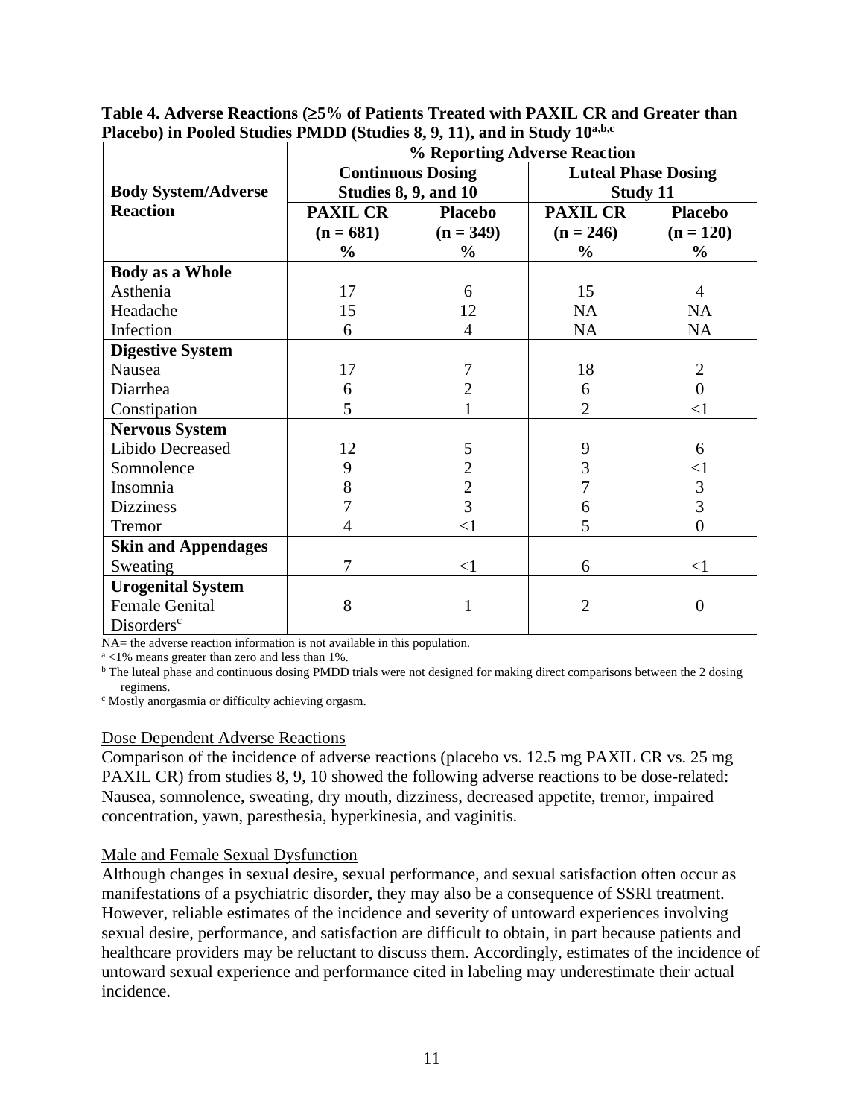|                            | $\bf{r}$ raccov) in 1 boled studies 1 mDD (studies 0, 2, 11), and in study 10 $\bf{r}$<br>% Reporting Adverse Reaction |                |                            |                  |  |  |  |  |
|----------------------------|------------------------------------------------------------------------------------------------------------------------|----------------|----------------------------|------------------|--|--|--|--|
|                            | <b>Continuous Dosing</b>                                                                                               |                | <b>Luteal Phase Dosing</b> |                  |  |  |  |  |
| <b>Body System/Adverse</b> | <b>Studies 8, 9, and 10</b>                                                                                            |                | <b>Study 11</b>            |                  |  |  |  |  |
| <b>Reaction</b>            | <b>PAXIL CR</b>                                                                                                        | <b>Placebo</b> | <b>PAXIL CR</b>            | <b>Placebo</b>   |  |  |  |  |
|                            | $(n = 681)$                                                                                                            | $(n = 349)$    | $(n = 246)$                | $(n = 120)$      |  |  |  |  |
|                            | $\frac{0}{0}$                                                                                                          | $\%$           | $\%$                       | $\frac{0}{0}$    |  |  |  |  |
| <b>Body as a Whole</b>     |                                                                                                                        |                |                            |                  |  |  |  |  |
| Asthenia                   | 17                                                                                                                     | 6              | 15                         | 4                |  |  |  |  |
| Headache                   | 15                                                                                                                     | 12             | <b>NA</b>                  | <b>NA</b>        |  |  |  |  |
| Infection                  | 6                                                                                                                      | $\overline{4}$ | <b>NA</b>                  | <b>NA</b>        |  |  |  |  |
| <b>Digestive System</b>    |                                                                                                                        |                |                            |                  |  |  |  |  |
| Nausea                     | 17                                                                                                                     |                | 18                         | $\overline{2}$   |  |  |  |  |
| Diarrhea                   | 6                                                                                                                      | 2              | 6                          | $\theta$         |  |  |  |  |
| Constipation               | 5                                                                                                                      |                | $\overline{2}$             | $<$ 1            |  |  |  |  |
| <b>Nervous System</b>      |                                                                                                                        |                |                            |                  |  |  |  |  |
| Libido Decreased           | 12                                                                                                                     | 5              | 9                          | 6                |  |  |  |  |
| Somnolence                 | 9                                                                                                                      | $\overline{c}$ | 3                          | ${<}1$           |  |  |  |  |
| Insomnia                   | 8                                                                                                                      | $\frac{2}{3}$  |                            | $\mathfrak{Z}$   |  |  |  |  |
| <b>Dizziness</b>           |                                                                                                                        |                | 6                          | $\overline{3}$   |  |  |  |  |
| Tremor                     | 4                                                                                                                      | $\leq$ 1       | 5                          | $\boldsymbol{0}$ |  |  |  |  |
| <b>Skin and Appendages</b> |                                                                                                                        |                |                            |                  |  |  |  |  |
| Sweating                   | 7                                                                                                                      | $<$ 1          | 6                          | $<$ 1            |  |  |  |  |
| <b>Urogenital System</b>   |                                                                                                                        |                |                            |                  |  |  |  |  |
| <b>Female Genital</b>      | 8                                                                                                                      | 1              | $\overline{2}$             | $\theta$         |  |  |  |  |
| Disorders <sup>c</sup>     |                                                                                                                        |                |                            |                  |  |  |  |  |

**Table 4. Adverse Reactions (5% of Patients Treated with PAXIL CR and Greater than Placebo) in Pooled Studies PMDD (Studies 8, 9, 11), and in Study 10 a,b,c**

NA= the adverse reaction information is not available in this population.

<sup>a</sup> <1% means greater than zero and less than 1%.

<sup>b</sup> The luteal phase and continuous dosing PMDD trials were not designed for making direct comparisons between the 2 dosing regimens.

<sup>c</sup> Mostly anorgasmia or difficulty achieving orgasm.

#### Dose Dependent Adverse Reactions

Comparison of the incidence of adverse reactions (placebo vs. 12.5 mg PAXIL CR vs. 25 mg PAXIL CR) from studies 8, 9, 10 showed the following adverse reactions to be dose-related: Nausea, somnolence, sweating, dry mouth, dizziness, decreased appetite, tremor, impaired concentration, yawn, paresthesia, hyperkinesia, and vaginitis.

#### Male and Female Sexual Dysfunction

Although changes in sexual desire, sexual performance, and sexual satisfaction often occur as manifestations of a psychiatric disorder, they may also be a consequence of SSRI treatment. However, reliable estimates of the incidence and severity of untoward experiences involving sexual desire, performance, and satisfaction are difficult to obtain, in part because patients and healthcare providers may be reluctant to discuss them. Accordingly, estimates of the incidence of untoward sexual experience and performance cited in labeling may underestimate their actual incidence.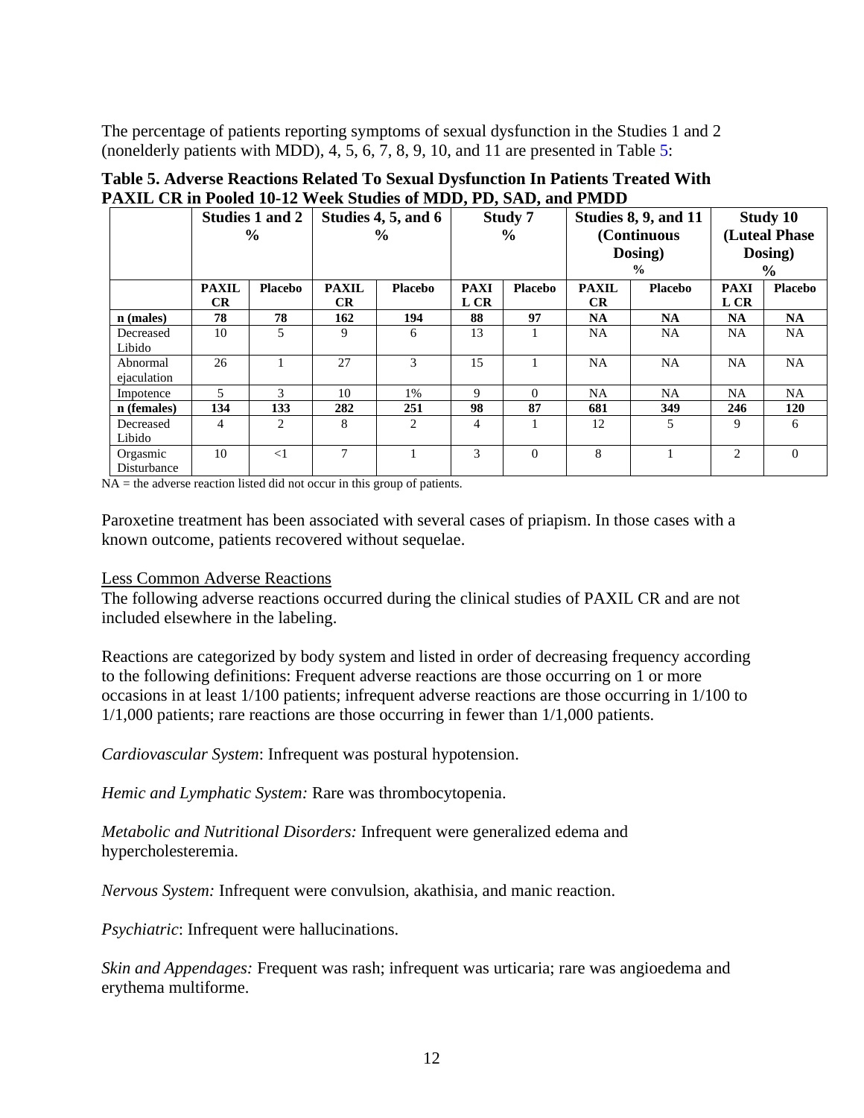The percentage of patients reporting symptoms of sexual dysfunction in the Studies 1 and 2 (nonelderly patients with MDD), 4, 5, 6, 7, 8, 9, 10, and 11 are presented in Table 5:

|             |              | Studies 1 and 2 |              | Studies 4, 5, and 6 |             | Study 7        |              | Studies 8, 9, and 11 |               | <b>Study 10</b> |
|-------------|--------------|-----------------|--------------|---------------------|-------------|----------------|--------------|----------------------|---------------|-----------------|
|             |              | $\frac{6}{9}$   |              | $\frac{6}{9}$       |             | $\frac{6}{9}$  | (Continuous  |                      | (Luteal Phase |                 |
|             |              |                 |              |                     |             |                |              | Dosing)              |               | Dosing)         |
|             |              |                 |              |                     |             |                |              | $\frac{0}{0}$        |               | $\%$            |
|             | <b>PAXIL</b> | <b>Placebo</b>  | <b>PAXIL</b> | <b>Placebo</b>      | <b>PAXI</b> | <b>Placebo</b> | <b>PAXIL</b> | <b>Placebo</b>       | <b>PAXI</b>   | <b>Placebo</b>  |
|             | <b>CR</b>    |                 | <b>CR</b>    |                     | L CR        |                | CR.          |                      | L CR          |                 |
| $n$ (males) | 78           | 78              | 162          | 194                 | 88          | 97             | <b>NA</b>    | <b>NA</b>            | <b>NA</b>     | <b>NA</b>       |
| Decreased   | 10           | 5.              | 9            | 6                   | 13          |                | NA.          | <b>NA</b>            | <b>NA</b>     | <b>NA</b>       |
| Libido      |              |                 |              |                     |             |                |              |                      |               |                 |
| Abnormal    | 26           |                 | 27           | 3                   | 15          |                | <b>NA</b>    | <b>NA</b>            | <b>NA</b>     | <b>NA</b>       |
| ejaculation |              |                 |              |                     |             |                |              |                      |               |                 |
| Impotence   | 5            | 3               | 10           | 1%                  | 9           | $\Omega$       | NA.          | <b>NA</b>            | NA            | <b>NA</b>       |
| n (females) | 134          | 133             | 282          | 251                 | 98          | 87             | 681          | 349                  | 246           | 120             |
| Decreased   | 4            | 2               | 8            | 2                   | 4           |                | 12           | 5                    | 9             | 6               |
| Libido      |              |                 |              |                     |             |                |              |                      |               |                 |
| Orgasmic    | 10           | $\leq$ 1        | 7            |                     | 3           | $\Omega$       | 8            |                      | 2             | $\mathbf{0}$    |
| Disturbance |              |                 |              |                     |             |                |              |                      |               |                 |

# **Table 5. Adverse Reactions Related To Sexual Dysfunction In Patients Treated With PAXIL CR in Pooled 10-12 Week Studies of MDD, PD, SAD, and PMDD**

 $NA =$  the adverse reaction listed did not occur in this group of patients.

Paroxetine treatment has been associated with several cases of priapism. In those cases with a known outcome, patients recovered without sequelae.

## Less Common Adverse Reactions

The following adverse reactions occurred during the clinical studies of PAXIL CR and are not included elsewhere in the labeling.

Reactions are categorized by body system and listed in order of decreasing frequency according to the following definitions: Frequent adverse reactions are those occurring on 1 or more occasions in at least 1/100 patients; infrequent adverse reactions are those occurring in 1/100 to 1/1,000 patients; rare reactions are those occurring in fewer than 1/1,000 patients.

*Cardiovascular System*: Infrequent was postural hypotension.

*Hemic and Lymphatic System:* Rare was thrombocytopenia.

*Metabolic and Nutritional Disorders:* Infrequent were generalized edema and hypercholesteremia.

*Nervous System:* Infrequent were convulsion, akathisia, and manic reaction.

*Psychiatric*: Infrequent were hallucinations.

*Skin and Appendages:* Frequent was rash; infrequent was urticaria; rare was angioedema and erythema multiforme.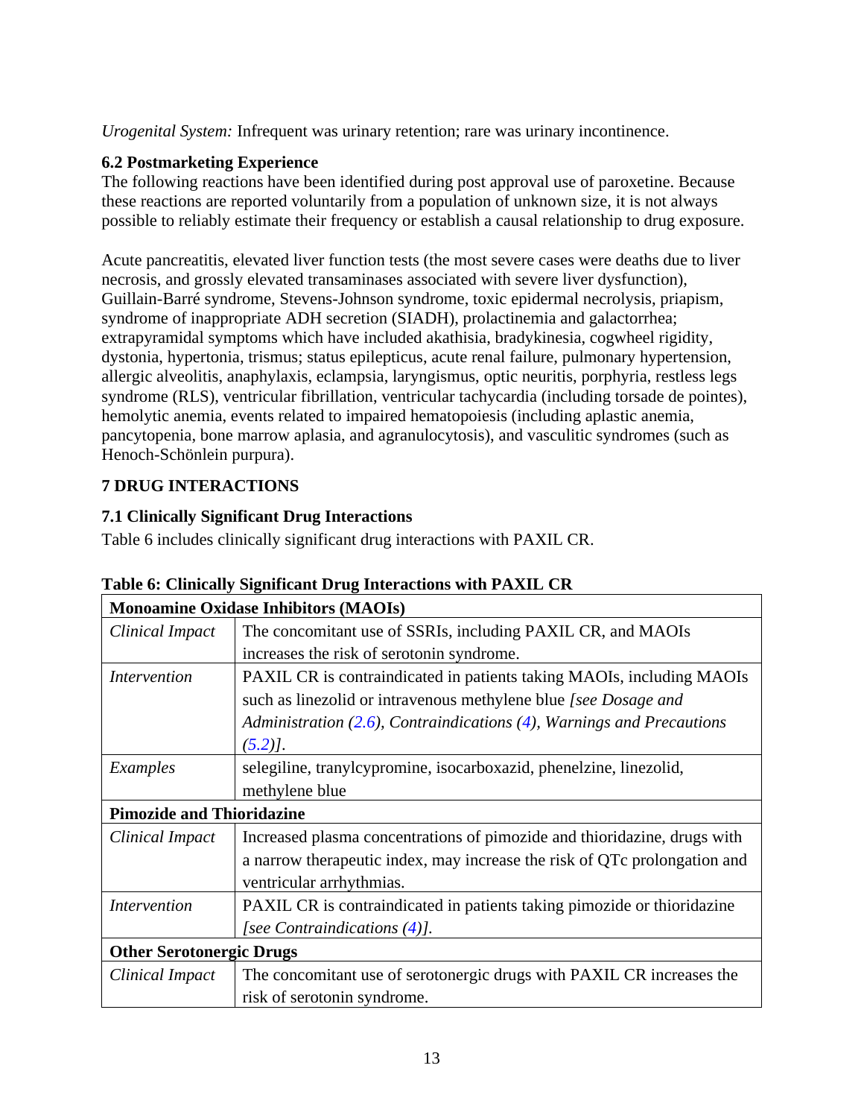*Urogenital System:* Infrequent was urinary retention; rare was urinary incontinence.

# <span id="page-13-1"></span>**6.2 Postmarketing Experience**

The following reactions have been identified during post approval use of paroxetine. Because these reactions are reported voluntarily from a population of unknown size, it is not always possible to reliably estimate their frequency or establish a causal relationship to drug exposure.

Acute pancreatitis, elevated liver function tests (the most severe cases were deaths due to liver necrosis, and grossly elevated transaminases associated with severe liver dysfunction), Guillain-Barré syndrome, Stevens-Johnson syndrome, toxic epidermal necrolysis, priapism, syndrome of inappropriate ADH secretion (SIADH), prolactinemia and galactorrhea; extrapyramidal symptoms which have included akathisia, bradykinesia, cogwheel rigidity, dystonia, hypertonia, trismus; status epilepticus, acute renal failure, pulmonary hypertension, allergic alveolitis, anaphylaxis, eclampsia, laryngismus, optic neuritis, porphyria, restless legs syndrome (RLS), ventricular fibrillation, ventricular tachycardia (including torsade de pointes), hemolytic anemia, events related to impaired hematopoiesis (including aplastic anemia, pancytopenia, bone marrow aplasia, and agranulocytosis), and vasculitic syndromes (such as Henoch-Schönlein purpura).

# <span id="page-13-2"></span><span id="page-13-0"></span>**7 DRUG INTERACTIONS**

# <span id="page-13-3"></span>**7.1 Clinically Significant Drug Interactions**

Table 6 includes clinically significant drug interactions with PAXIL CR.

|                                  | <b>Monoamine Oxidase Inhibitors (MAOIs)</b>                                 |  |  |  |  |  |  |
|----------------------------------|-----------------------------------------------------------------------------|--|--|--|--|--|--|
| Clinical Impact                  | The concomitant use of SSRIs, including PAXIL CR, and MAOIs                 |  |  |  |  |  |  |
|                                  | increases the risk of serotonin syndrome.                                   |  |  |  |  |  |  |
| Intervention                     | PAXIL CR is contraindicated in patients taking MAOIs, including MAOIs       |  |  |  |  |  |  |
|                                  | such as linezolid or intravenous methylene blue [see Dosage and             |  |  |  |  |  |  |
|                                  | Administration $(2.6)$ , Contraindications $(4)$ , Warnings and Precautions |  |  |  |  |  |  |
|                                  | $(5.2)$ .                                                                   |  |  |  |  |  |  |
| Examples                         | selegiline, tranylcypromine, isocarboxazid, phenelzine, linezolid,          |  |  |  |  |  |  |
|                                  | methylene blue                                                              |  |  |  |  |  |  |
| <b>Pimozide and Thioridazine</b> |                                                                             |  |  |  |  |  |  |
| Clinical Impact                  | Increased plasma concentrations of pimozide and thioridazine, drugs with    |  |  |  |  |  |  |
|                                  | a narrow therapeutic index, may increase the risk of QTc prolongation and   |  |  |  |  |  |  |
|                                  | ventricular arrhythmias.                                                    |  |  |  |  |  |  |
| <i>Intervention</i>              | PAXIL CR is contraindicated in patients taking pimozide or thioridazine     |  |  |  |  |  |  |
|                                  | [see Contraindications $(4)$ ].                                             |  |  |  |  |  |  |
| <b>Other Serotonergic Drugs</b>  |                                                                             |  |  |  |  |  |  |
| Clinical Impact                  | The concomitant use of serotonergic drugs with PAXIL CR increases the       |  |  |  |  |  |  |
|                                  | risk of serotonin syndrome.                                                 |  |  |  |  |  |  |

**Table 6: Clinically Significant Drug Interactions with PAXIL CR**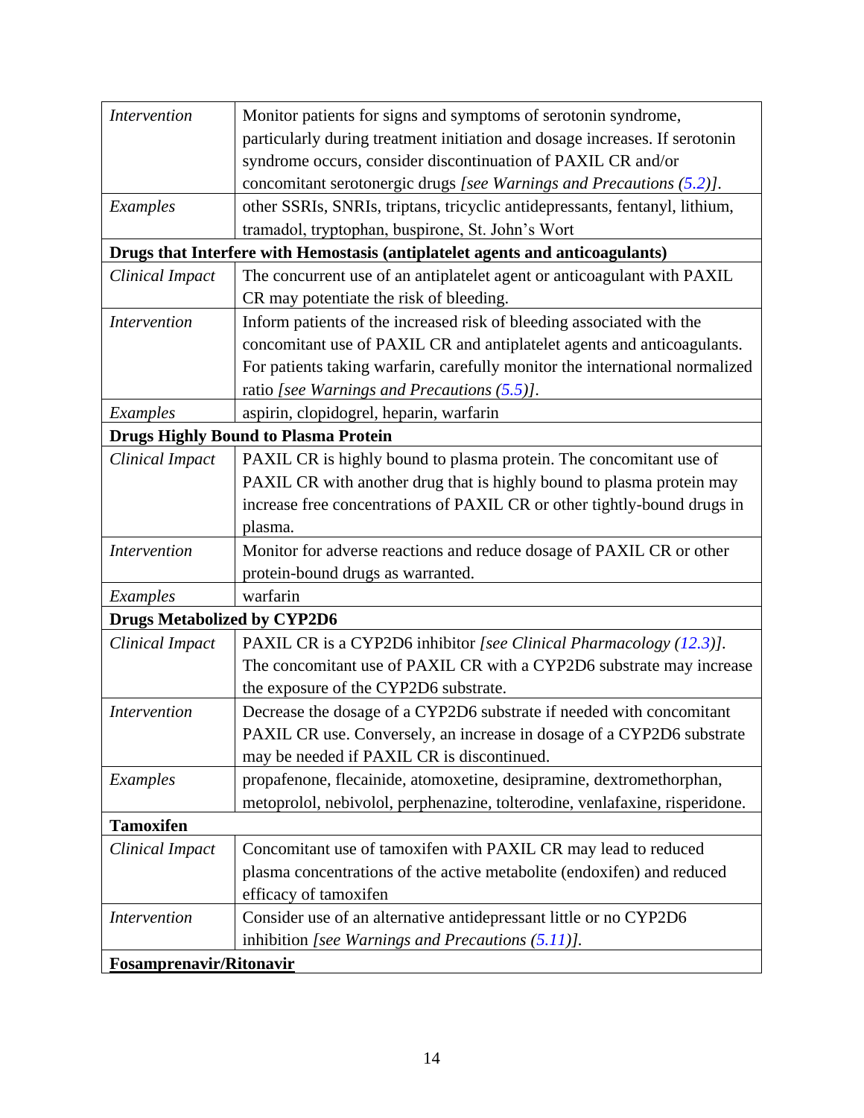| <i>Intervention</i>                | Monitor patients for signs and symptoms of serotonin syndrome,                |
|------------------------------------|-------------------------------------------------------------------------------|
|                                    | particularly during treatment initiation and dosage increases. If serotonin   |
|                                    | syndrome occurs, consider discontinuation of PAXIL CR and/or                  |
|                                    | concomitant serotonergic drugs [see Warnings and Precautions $(5.2)$ ].       |
| Examples                           | other SSRIs, SNRIs, triptans, tricyclic antidepressants, fentanyl, lithium,   |
|                                    | tramadol, tryptophan, buspirone, St. John's Wort                              |
|                                    | Drugs that Interfere with Hemostasis (antiplatelet agents and anticoagulants) |
| <b>Clinical Impact</b>             | The concurrent use of an antiplatelet agent or anticoagulant with PAXIL       |
|                                    | CR may potentiate the risk of bleeding.                                       |
| <i>Intervention</i>                | Inform patients of the increased risk of bleeding associated with the         |
|                                    | concomitant use of PAXIL CR and antiplatelet agents and anticoagulants.       |
|                                    | For patients taking warfarin, carefully monitor the international normalized  |
|                                    | ratio [see Warnings and Precautions $(5.5)$ ].                                |
| Examples                           | aspirin, clopidogrel, heparin, warfarin                                       |
|                                    | <b>Drugs Highly Bound to Plasma Protein</b>                                   |
| <b>Clinical Impact</b>             | PAXIL CR is highly bound to plasma protein. The concomitant use of            |
|                                    | PAXIL CR with another drug that is highly bound to plasma protein may         |
|                                    | increase free concentrations of PAXIL CR or other tightly-bound drugs in      |
|                                    | plasma.                                                                       |
| <b>Intervention</b>                | Monitor for adverse reactions and reduce dosage of PAXIL CR or other          |
|                                    | protein-bound drugs as warranted.                                             |
| Examples                           | warfarin                                                                      |
| <b>Drugs Metabolized by CYP2D6</b> |                                                                               |
| <b>Clinical Impact</b>             | PAXIL CR is a CYP2D6 inhibitor [see Clinical Pharmacology (12.3)].            |
|                                    | The concomitant use of PAXIL CR with a CYP2D6 substrate may increase          |
|                                    | the exposure of the CYP2D6 substrate.                                         |
| <i>Intervention</i>                | Decrease the dosage of a CYP2D6 substrate if needed with concomitant          |
|                                    | PAXIL CR use. Conversely, an increase in dosage of a CYP2D6 substrate         |
|                                    | may be needed if PAXIL CR is discontinued.                                    |
| Examples                           | propafenone, flecainide, atomoxetine, desipramine, dextromethorphan,          |
|                                    | metoprolol, nebivolol, perphenazine, tolterodine, venlafaxine, risperidone.   |
| <b>Tamoxifen</b>                   |                                                                               |
| <b>Clinical Impact</b>             | Concomitant use of tamoxifen with PAXIL CR may lead to reduced                |
|                                    | plasma concentrations of the active metabolite (endoxifen) and reduced        |
|                                    | efficacy of tamoxifen                                                         |
| <b>Intervention</b>                | Consider use of an alternative antidepressant little or no CYP2D6             |
|                                    | inhibition [see Warnings and Precautions $(5.11)$ ].                          |
| <b>Fosamprenavir/Ritonavir</b>     |                                                                               |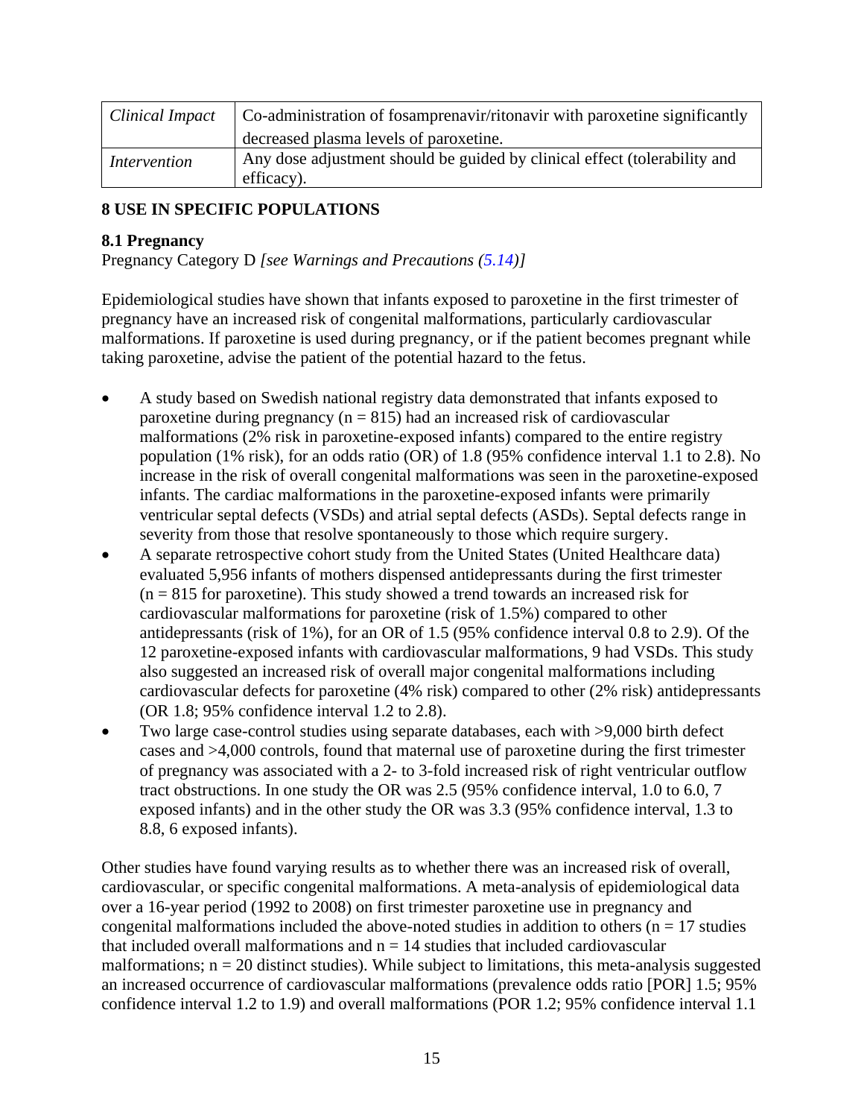| Clinical Impact     | Co-administration of fosamprenavir/ritonavir with paroxetine significantly              |
|---------------------|-----------------------------------------------------------------------------------------|
|                     | decreased plasma levels of paroxetine.                                                  |
| <i>Intervention</i> | Any dose adjustment should be guided by clinical effect (tolerability and<br>efficacy). |

# <span id="page-15-1"></span>**8 USE IN SPECIFIC POPULATIONS**

# <span id="page-15-0"></span>**8.1 Pregnancy**

Pregnancy Category D *[see Warnings and Precautions [\(5.14\)](#page-7-3)]*

Epidemiological studies have shown that infants exposed to paroxetine in the first trimester of pregnancy have an increased risk of congenital malformations, particularly cardiovascular malformations. If paroxetine is used during pregnancy, or if the patient becomes pregnant while taking paroxetine, advise the patient of the potential hazard to the fetus.

- A study based on Swedish national registry data demonstrated that infants exposed to paroxetine during pregnancy ( $n = 815$ ) had an increased risk of cardiovascular malformations (2% risk in paroxetine-exposed infants) compared to the entire registry population (1% risk), for an odds ratio (OR) of 1.8 (95% confidence interval 1.1 to 2.8). No increase in the risk of overall congenital malformations was seen in the paroxetine-exposed infants. The cardiac malformations in the paroxetine-exposed infants were primarily ventricular septal defects (VSDs) and atrial septal defects (ASDs). Septal defects range in severity from those that resolve spontaneously to those which require surgery.
- A separate retrospective cohort study from the United States (United Healthcare data) evaluated 5,956 infants of mothers dispensed antidepressants during the first trimester  $(n = 815$  for paroxetine). This study showed a trend towards an increased risk for cardiovascular malformations for paroxetine (risk of 1.5%) compared to other antidepressants (risk of 1%), for an OR of 1.5 (95% confidence interval 0.8 to 2.9). Of the 12 paroxetine-exposed infants with cardiovascular malformations, 9 had VSDs. This study also suggested an increased risk of overall major congenital malformations including cardiovascular defects for paroxetine (4% risk) compared to other (2% risk) antidepressants (OR 1.8; 95% confidence interval 1.2 to 2.8).
- Two large case-control studies using separate databases, each with >9,000 birth defect cases and >4,000 controls, found that maternal use of paroxetine during the first trimester of pregnancy was associated with a 2- to 3-fold increased risk of right ventricular outflow tract obstructions. In one study the OR was 2.5 (95% confidence interval, 1.0 to 6.0, 7 exposed infants) and in the other study the OR was 3.3 (95% confidence interval, 1.3 to 8.8, 6 exposed infants).

Other studies have found varying results as to whether there was an increased risk of overall, cardiovascular, or specific congenital malformations. A meta-analysis of epidemiological data over a 16-year period (1992 to 2008) on first trimester paroxetine use in pregnancy and congenital malformations included the above-noted studies in addition to others ( $n = 17$  studies that included overall malformations and  $n = 14$  studies that included cardiovascular malformations;  $n = 20$  distinct studies). While subject to limitations, this meta-analysis suggested an increased occurrence of cardiovascular malformations (prevalence odds ratio [POR] 1.5; 95% confidence interval 1.2 to 1.9) and overall malformations (POR 1.2; 95% confidence interval 1.1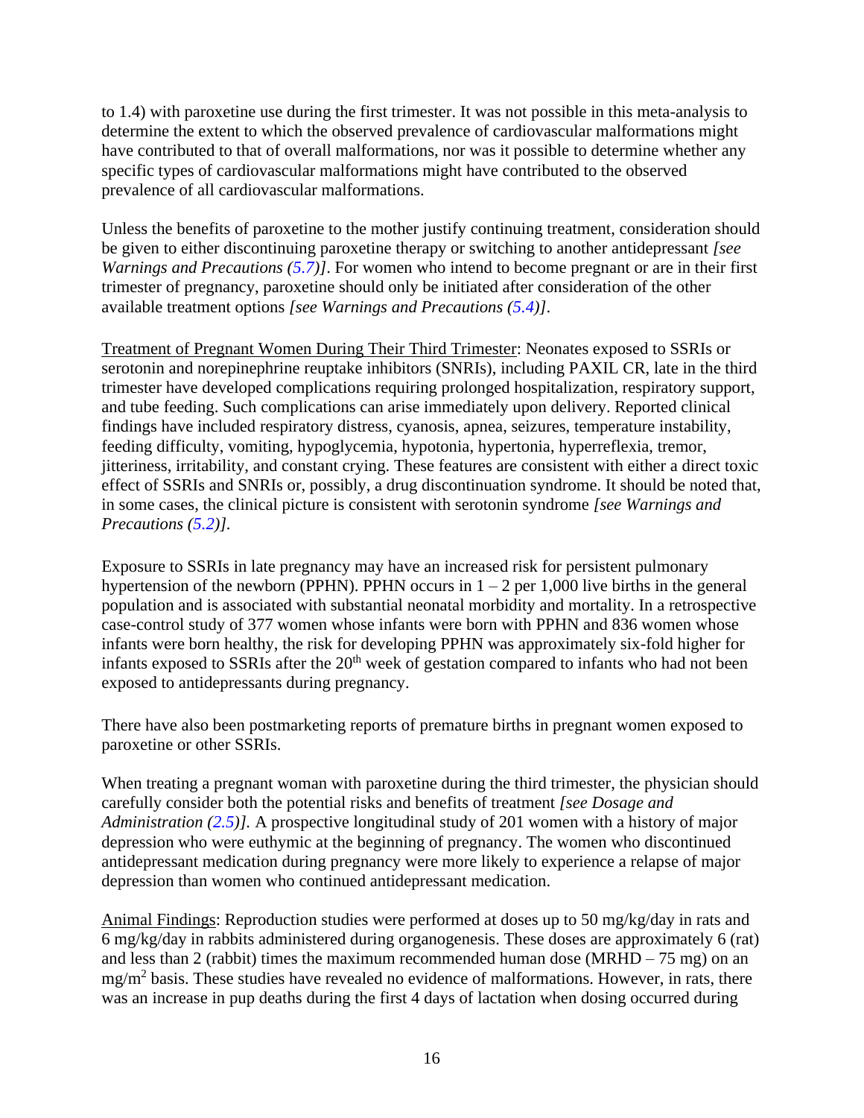to 1.4) with paroxetine use during the first trimester. It was not possible in this meta-analysis to determine the extent to which the observed prevalence of cardiovascular malformations might have contributed to that of overall malformations, nor was it possible to determine whether any specific types of cardiovascular malformations might have contributed to the observed prevalence of all cardiovascular malformations.

Unless the benefits of paroxetine to the mother justify continuing treatment, consideration should be given to either discontinuing paroxetine therapy or switching to another antidepressant *[see Warnings and Precautions [\(5.7\)](#page-6-3)]*. For women who intend to become pregnant or are in their first trimester of pregnancy, paroxetine should only be initiated after consideration of the other available treatment options *[see Warnings and Precautions [\(5.4\)](#page-5-1)]*.

Treatment of Pregnant Women During Their Third Trimester: Neonates exposed to SSRIs or serotonin and norepinephrine reuptake inhibitors (SNRIs), including PAXIL CR, late in the third trimester have developed complications requiring prolonged hospitalization, respiratory support, and tube feeding. Such complications can arise immediately upon delivery. Reported clinical findings have included respiratory distress, cyanosis, apnea, seizures, temperature instability, feeding difficulty, vomiting, hypoglycemia, hypotonia, hypertonia, hyperreflexia, tremor, jitteriness, irritability, and constant crying. These features are consistent with either a direct toxic effect of SSRIs and SNRIs or, possibly, a drug discontinuation syndrome. It should be noted that, in some cases, the clinical picture is consistent with serotonin syndrome *[see Warnings and Precautions [\(5.2\)](#page-4-1)].*

Exposure to SSRIs in late pregnancy may have an increased risk for persistent pulmonary hypertension of the newborn (PPHN). PPHN occurs in  $1 - 2$  per 1,000 live births in the general population and is associated with substantial neonatal morbidity and mortality. In a retrospective case-control study of 377 women whose infants were born with PPHN and 836 women whose infants were born healthy, the risk for developing PPHN was approximately six-fold higher for infants exposed to SSRIs after the  $20<sup>th</sup>$  week of gestation compared to infants who had not been exposed to antidepressants during pregnancy.

There have also been postmarketing reports of premature births in pregnant women exposed to paroxetine or other SSRIs.

When treating a pregnant woman with paroxetine during the third trimester, the physician should carefully consider both the potential risks and benefits of treatment *[see Dosage and Administration [\(2.5\)](#page-3-0)].* A prospective longitudinal study of 201 women with a history of major depression who were euthymic at the beginning of pregnancy. The women who discontinued antidepressant medication during pregnancy were more likely to experience a relapse of major depression than women who continued antidepressant medication.

Animal Findings: Reproduction studies were performed at doses up to 50 mg/kg/day in rats and 6 mg/kg/day in rabbits administered during organogenesis. These doses are approximately 6 (rat) and less than 2 (rabbit) times the maximum recommended human dose (MRHD  $-75$  mg) on an  $mg/m<sup>2</sup>$  basis. These studies have revealed no evidence of malformations. However, in rats, there was an increase in pup deaths during the first 4 days of lactation when dosing occurred during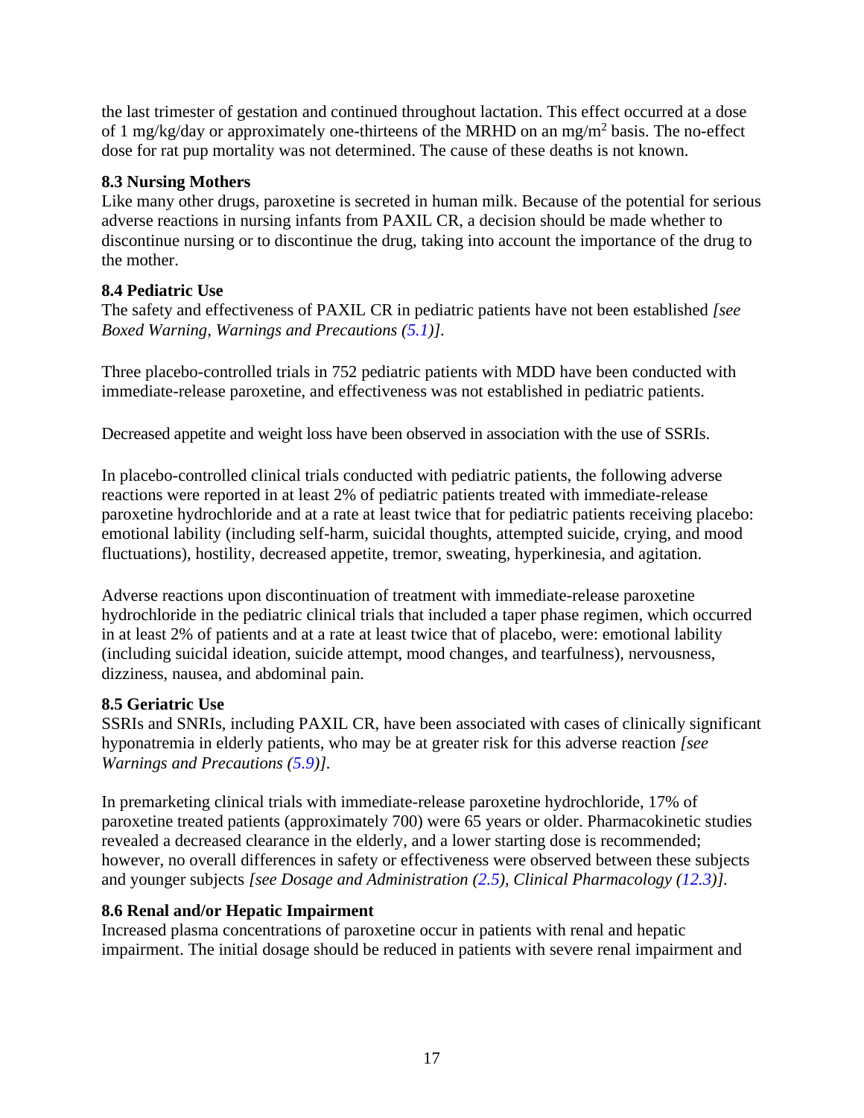the last trimester of gestation and continued throughout lactation. This effect occurred at a dose of 1 mg/kg/day or approximately one-thirteens of the MRHD on an mg/m<sup>2</sup> basis. The no-effect dose for rat pup mortality was not determined. The cause of these deaths is not known.

# <span id="page-17-1"></span>**8.3 Nursing Mothers**

Like many other drugs, paroxetine is secreted in human milk. Because of the potential for serious adverse reactions in nursing infants from PAXIL CR, a decision should be made whether to discontinue nursing or to discontinue the drug, taking into account the importance of the drug to the mother.

# <span id="page-17-0"></span>**8.4 Pediatric Use**

The safety and effectiveness of PAXIL CR in pediatric patients have not been established *[see Boxed Warning, Warnings and Precautions [\(5.1\)](#page-4-0)].*

Three placebo-controlled trials in 752 pediatric patients with MDD have been conducted with immediate-release paroxetine, and effectiveness was not established in pediatric patients.

Decreased appetite and weight loss have been observed in association with the use of SSRIs.

In placebo-controlled clinical trials conducted with pediatric patients, the following adverse reactions were reported in at least 2% of pediatric patients treated with immediate-release paroxetine hydrochloride and at a rate at least twice that for pediatric patients receiving placebo: emotional lability (including self-harm, suicidal thoughts, attempted suicide, crying, and mood fluctuations), hostility, decreased appetite, tremor, sweating, hyperkinesia, and agitation.

Adverse reactions upon discontinuation of treatment with immediate-release paroxetine hydrochloride in the pediatric clinical trials that included a taper phase regimen, which occurred in at least 2% of patients and at a rate at least twice that of placebo, were: emotional lability (including suicidal ideation, suicide attempt, mood changes, and tearfulness), nervousness, dizziness, nausea, and abdominal pain*.*

# <span id="page-17-2"></span>**8.5 Geriatric Use**

SSRIs and SNRIs, including PAXIL CR, have been associated with cases of clinically significant hyponatremia in elderly patients, who may be at greater risk for this adverse reaction *[see Warnings and Precautions [\(5.9\)](#page-6-4)].*

In premarketing clinical trials with immediate-release paroxetine hydrochloride, 17% of paroxetine treated patients (approximately 700) were 65 years or older. Pharmacokinetic studies revealed a decreased clearance in the elderly, and a lower starting dose is recommended; however, no overall differences in safety or effectiveness were observed between these subjects and younger subjects *[see Dosage and Administration [\(2.5\)](#page-3-0), Clinical Pharmacology [\(12.3\)](#page-19-3)].*

# <span id="page-17-3"></span>**8.6 Renal and/or Hepatic Impairment**

Increased plasma concentrations of paroxetine occur in patients with renal and hepatic impairment. The initial dosage should be reduced in patients with severe renal impairment and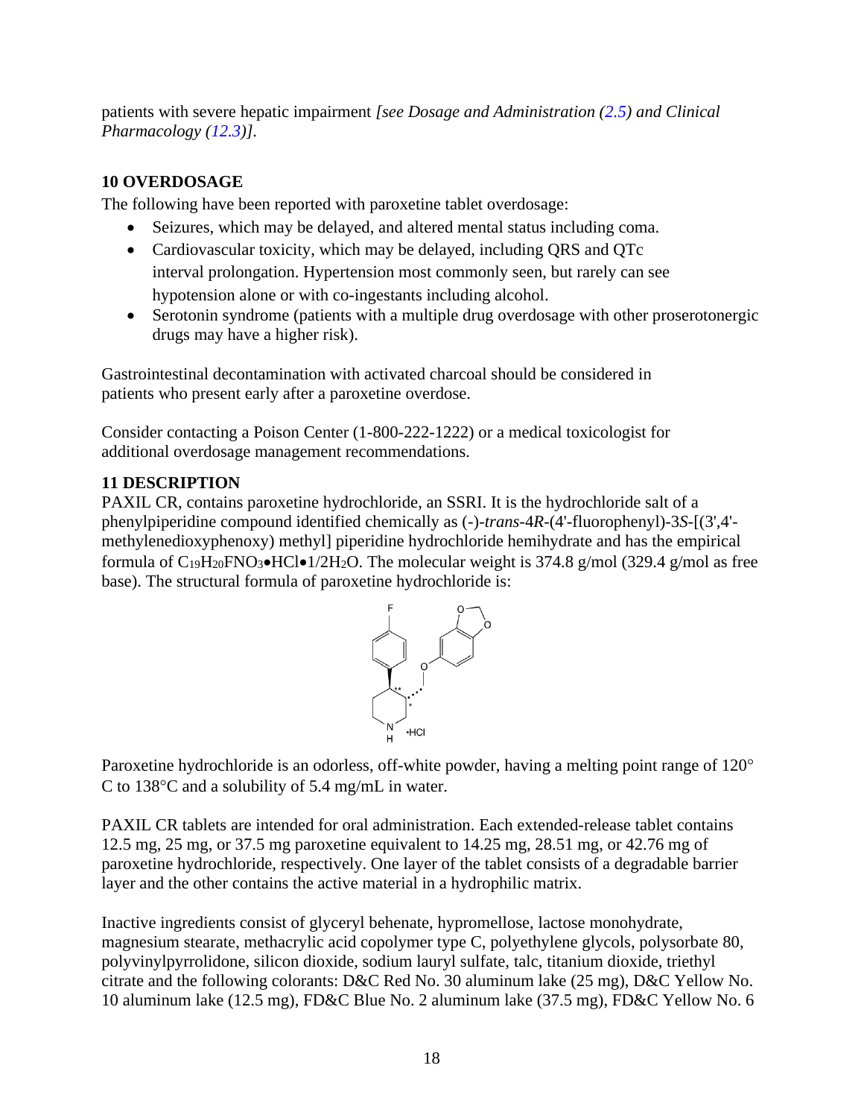patients with severe hepatic impairment *[see Dosage and Administration [\(2.5\)](#page-3-0) and Clinical Pharmacology [\(12.3\)](#page-19-3)].*

# <span id="page-18-0"></span>**10 OVERDOSAGE**

The following have been reported with paroxetine tablet overdosage:

- Seizures, which may be delayed, and altered mental status including coma.
- Cardiovascular toxicity, which may be delayed, including QRS and QTc interval prolongation. Hypertension most commonly seen, but rarely can see hypotension alone or with co-ingestants including alcohol.
- Serotonin syndrome (patients with a multiple drug overdosage with other proserotonergic drugs may have a higher risk).

Gastrointestinal decontamination with activated charcoal should be considered in patients who present early after a paroxetine overdose.

Consider contacting a Poison Center (1-800-222-1222) or a medical toxicologist for additional overdosage management recommendations.

# <span id="page-18-1"></span>**11 DESCRIPTION**

PAXIL CR, contains paroxetine hydrochloride, an SSRI. It is the hydrochloride salt of a phenylpiperidine compound identified chemically as (-)-*trans*-4*R-*(4'-fluorophenyl)-3*S*-[(3',4' methylenedioxyphenoxy) methyl] piperidine hydrochloride hemihydrate and has the empirical formula of  $C_{19}H_{20}FNO_3\bullet HCl\bullet 1/2H_2O$ . The molecular weight is 374.8 g/mol (329.4 g/mol as free base). The structural formula of paroxetine hydrochloride is:



Paroxetine hydrochloride is an odorless, off-white powder, having a melting point range of 120<sup>o</sup> C to 138 $\degree$ C and a solubility of 5.4 mg/mL in water.

PAXIL CR tablets are intended for oral administration. Each extended-release tablet contains 12.5 mg, 25 mg, or 37.5 mg paroxetine equivalent to 14.25 mg, 28.51 mg, or 42.76 mg of paroxetine hydrochloride, respectively. One layer of the tablet consists of a degradable barrier layer and the other contains the active material in a hydrophilic matrix.

Inactive ingredients consist of glyceryl behenate, hypromellose, lactose monohydrate, magnesium stearate, methacrylic acid copolymer type C, polyethylene glycols, polysorbate 80, polyvinylpyrrolidone, silicon dioxide, sodium lauryl sulfate, talc, titanium dioxide, triethyl citrate and the following colorants: D&C Red No. 30 aluminum lake (25 mg), D&C Yellow No. 10 aluminum lake (12.5 mg), FD&C Blue No. 2 aluminum lake (37.5 mg), FD&C Yellow No. 6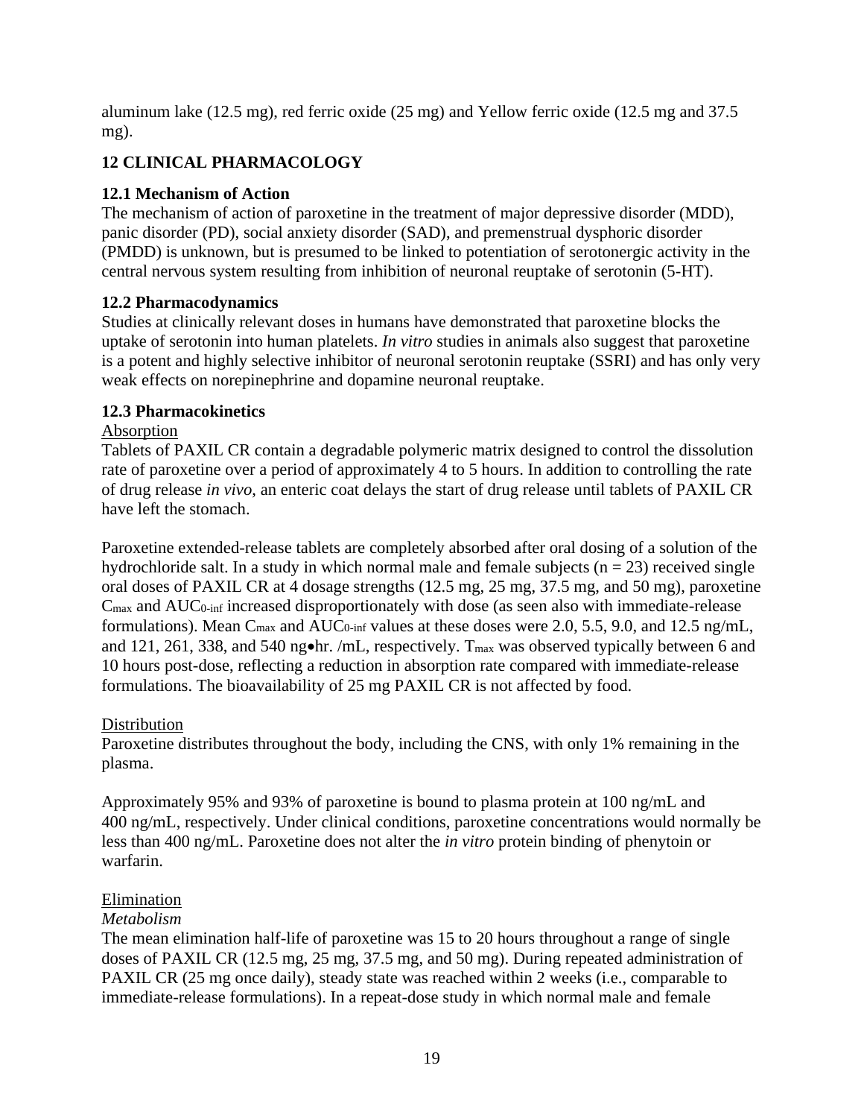aluminum lake (12.5 mg), red ferric oxide (25 mg) and Yellow ferric oxide (12.5 mg and 37.5 mg).

# <span id="page-19-0"></span>**12 CLINICAL PHARMACOLOGY**

# <span id="page-19-1"></span>**12.1 Mechanism of Action**

The mechanism of action of paroxetine in the treatment of major depressive disorder (MDD), panic disorder (PD), social anxiety disorder (SAD), and premenstrual dysphoric disorder (PMDD) is unknown, but is presumed to be linked to potentiation of serotonergic activity in the central nervous system resulting from inhibition of neuronal reuptake of serotonin (5-HT).

# <span id="page-19-2"></span>**12.2 Pharmacodynamics**

Studies at clinically relevant doses in humans have demonstrated that paroxetine blocks the uptake of serotonin into human platelets. *In vitro* studies in animals also suggest that paroxetine is a potent and highly selective inhibitor of neuronal serotonin reuptake (SSRI) and has only very weak effects on norepinephrine and dopamine neuronal reuptake.

# <span id="page-19-3"></span>**12.3 Pharmacokinetics**

# Absorption

Tablets of PAXIL CR contain a degradable polymeric matrix designed to control the dissolution rate of paroxetine over a period of approximately 4 to 5 hours. In addition to controlling the rate of drug release *in vivo*, an enteric coat delays the start of drug release until tablets of PAXIL CR have left the stomach.

Paroxetine extended-release tablets are completely absorbed after oral dosing of a solution of the hydrochloride salt. In a study in which normal male and female subjects  $(n = 23)$  received single oral doses of PAXIL CR at 4 dosage strengths (12.5 mg, 25 mg, 37.5 mg, and 50 mg), paroxetine Cmax and AUC0-inf increased disproportionately with dose (as seen also with immediate-release formulations). Mean  $C_{\text{max}}$  and  $AUC_{0\text{-inf}}$  values at these doses were 2.0, 5.5, 9.0, and 12.5 ng/mL, and 121, 261, 338, and 540 ng•hr. /mL, respectively. T<sub>max</sub> was observed typically between 6 and 10 hours post-dose, reflecting a reduction in absorption rate compared with immediate-release formulations. The bioavailability of 25 mg PAXIL CR is not affected by food.

# **Distribution**

Paroxetine distributes throughout the body, including the CNS, with only 1% remaining in the plasma.

Approximately 95% and 93% of paroxetine is bound to plasma protein at 100 ng/mL and 400 ng/mL, respectively. Under clinical conditions, paroxetine concentrations would normally be less than 400 ng/mL. Paroxetine does not alter the *in vitro* protein binding of phenytoin or warfarin.

# Elimination

# *Metabolism*

The mean elimination half-life of paroxetine was 15 to 20 hours throughout a range of single doses of PAXIL CR (12.5 mg, 25 mg, 37.5 mg, and 50 mg). During repeated administration of PAXIL CR (25 mg once daily), steady state was reached within 2 weeks (i.e., comparable to immediate-release formulations). In a repeat-dose study in which normal male and female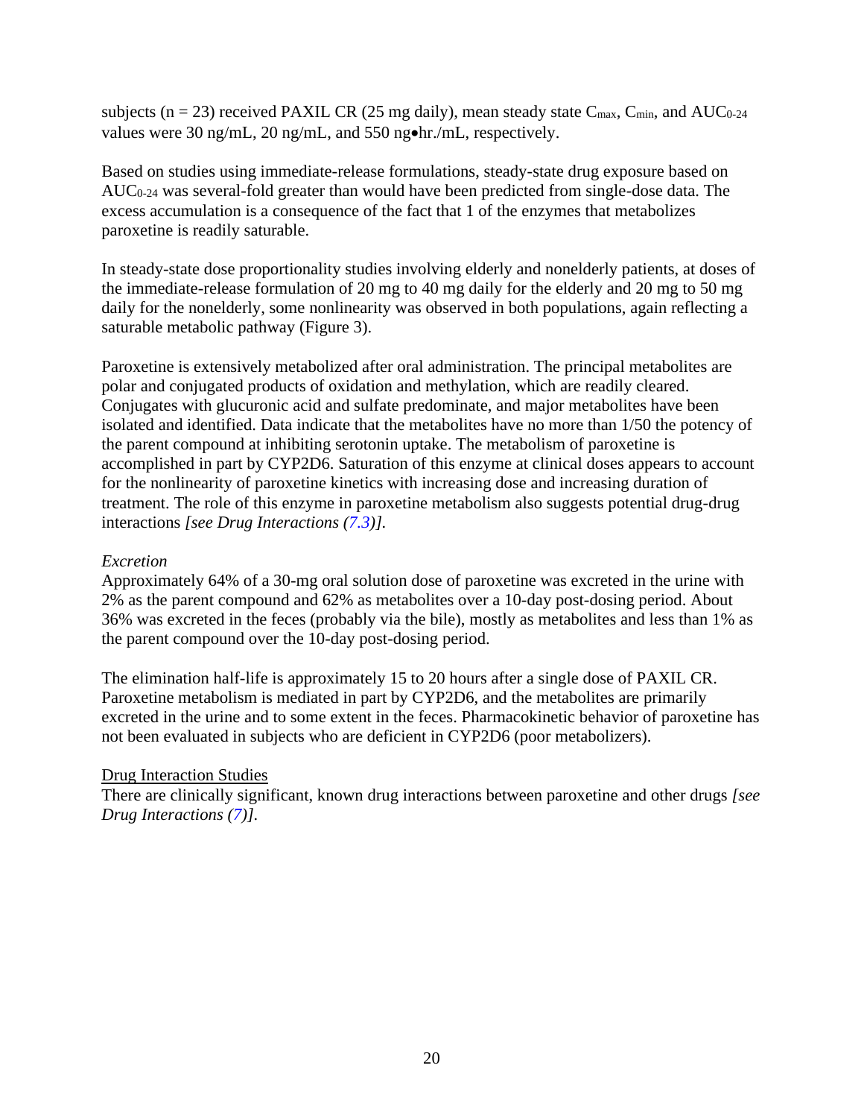subjects ( $n = 23$ ) received PAXIL CR (25 mg daily), mean steady state C<sub>max</sub>, C<sub>min</sub>, and AUC<sub>0-24</sub> values were 30 ng/mL, 20 ng/mL, and 550 ng•hr./mL, respectively.

Based on studies using immediate-release formulations, steady-state drug exposure based on AUC0-24 was several-fold greater than would have been predicted from single-dose data. The excess accumulation is a consequence of the fact that 1 of the enzymes that metabolizes paroxetine is readily saturable.

In steady-state dose proportionality studies involving elderly and nonelderly patients, at doses of the immediate-release formulation of 20 mg to 40 mg daily for the elderly and 20 mg to 50 mg daily for the nonelderly, some nonlinearity was observed in both populations, again reflecting a saturable metabolic pathway (Figure 3).

Paroxetine is extensively metabolized after oral administration. The principal metabolites are polar and conjugated products of oxidation and methylation, which are readily cleared. Conjugates with glucuronic acid and sulfate predominate, and major metabolites have been isolated and identified. Data indicate that the metabolites have no more than 1/50 the potency of the parent compound at inhibiting serotonin uptake. The metabolism of paroxetine is accomplished in part by CYP2D6. Saturation of this enzyme at clinical doses appears to account for the nonlinearity of paroxetine kinetics with increasing dose and increasing duration of treatment. The role of this enzyme in paroxetine metabolism also suggests potential drug-drug interactions *[see Drug Interactions [\(7.3\)](#page-15-1)].*

## *Excretion*

Approximately 64% of a 30-mg oral solution dose of paroxetine was excreted in the urine with 2% as the parent compound and 62% as metabolites over a 10-day post-dosing period. About 36% was excreted in the feces (probably via the bile), mostly as metabolites and less than 1% as the parent compound over the 10-day post-dosing period.

The elimination half-life is approximately 15 to 20 hours after a single dose of PAXIL CR. Paroxetine metabolism is mediated in part by CYP2D6, and the metabolites are primarily excreted in the urine and to some extent in the feces. Pharmacokinetic behavior of paroxetine has not been evaluated in subjects who are deficient in CYP2D6 (poor metabolizers).

#### Drug Interaction Studies

There are clinically significant, known drug interactions between paroxetine and other drugs *[see Drug Interactions [\(7\)](#page-13-2)].*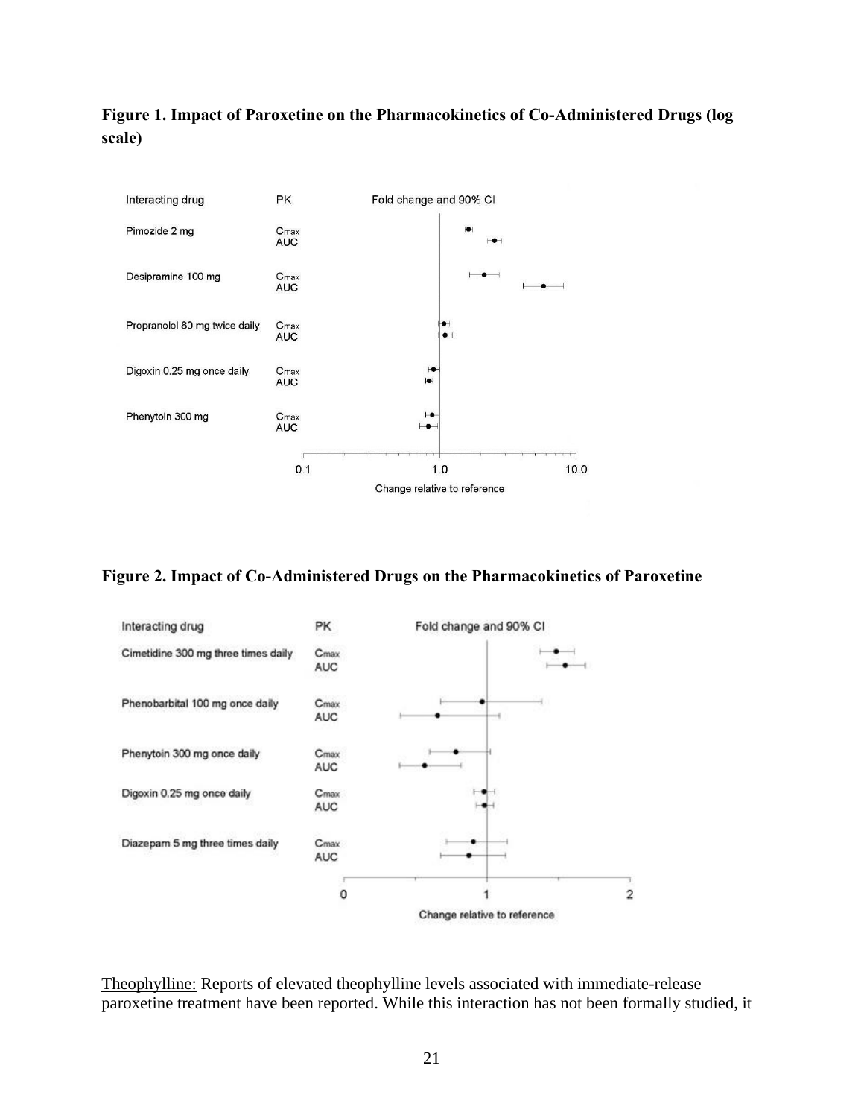**Figure 1. Impact of Paroxetine on the Pharmacokinetics of Co-Administered Drugs (log scale)**



**Figure 2. Impact of Co-Administered Drugs on the Pharmacokinetics of Paroxetine**



Theophylline: Reports of elevated theophylline levels associated with immediate-release paroxetine treatment have been reported. While this interaction has not been formally studied, it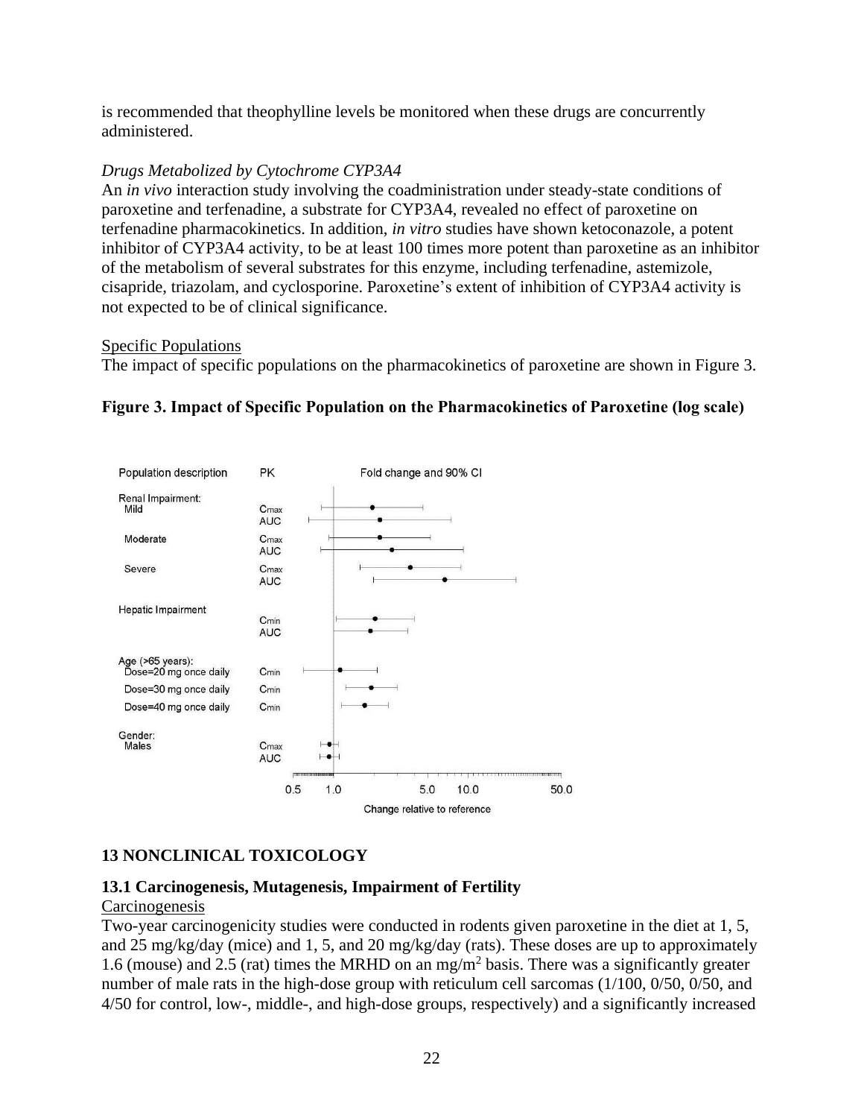is recommended that theophylline levels be monitored when these drugs are concurrently administered.

## *Drugs Metabolized by Cytochrome CYP3A4*

An *in vivo* interaction study involving the coadministration under steady-state conditions of paroxetine and terfenadine, a substrate for CYP3A4, revealed no effect of paroxetine on terfenadine pharmacokinetics. In addition, *in vitro* studies have shown ketoconazole, a potent inhibitor of CYP3A4 activity, to be at least 100 times more potent than paroxetine as an inhibitor of the metabolism of several substrates for this enzyme, including terfenadine, astemizole, cisapride, triazolam, and cyclosporine. Paroxetine's extent of inhibition of CYP3A4 activity is not expected to be of clinical significance.

## Specific Populations

The impact of specific populations on the pharmacokinetics of paroxetine are shown in Figure 3.





# <span id="page-22-0"></span>**13 NONCLINICAL TOXICOLOGY**

# <span id="page-22-1"></span>**13.1 Carcinogenesis, Mutagenesis, Impairment of Fertility**

## **Carcinogenesis**

Two-year carcinogenicity studies were conducted in rodents given paroxetine in the diet at 1, 5, and 25 mg/kg/day (mice) and 1, 5, and 20 mg/kg/day (rats). These doses are up to approximately 1.6 (mouse) and 2.5 (rat) times the MRHD on an mg/m<sup>2</sup> basis. There was a significantly greater number of male rats in the high-dose group with reticulum cell sarcomas (1/100, 0/50, 0/50, and 4/50 for control, low-, middle-, and high-dose groups, respectively) and a significantly increased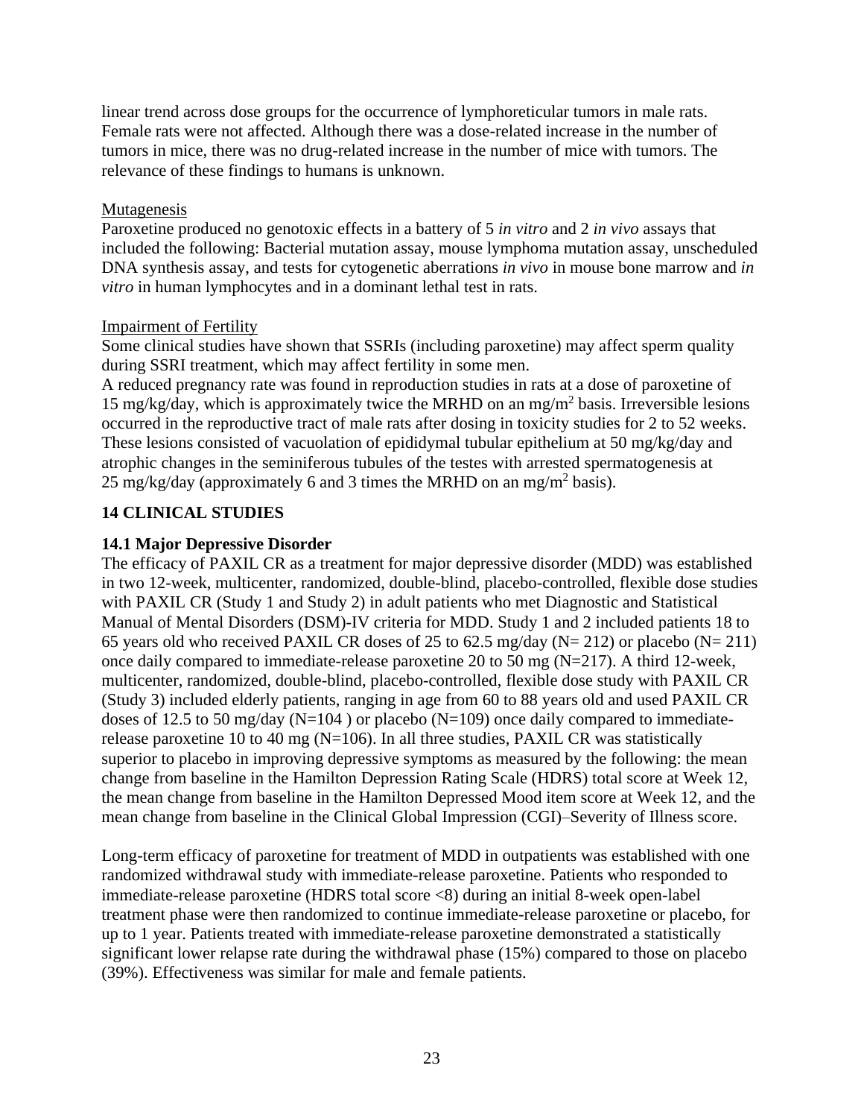linear trend across dose groups for the occurrence of lymphoreticular tumors in male rats. Female rats were not affected. Although there was a dose-related increase in the number of tumors in mice, there was no drug-related increase in the number of mice with tumors. The relevance of these findings to humans is unknown.

## **Mutagenesis**

Paroxetine produced no genotoxic effects in a battery of 5 *in vitro* and 2 *in vivo* assays that included the following: Bacterial mutation assay, mouse lymphoma mutation assay, unscheduled DNA synthesis assay, and tests for cytogenetic aberrations *in vivo* in mouse bone marrow and *in vitro* in human lymphocytes and in a dominant lethal test in rats.

## Impairment of Fertility

Some clinical studies have shown that SSRIs (including paroxetine) may affect sperm quality during SSRI treatment, which may affect fertility in some men.

A reduced pregnancy rate was found in reproduction studies in rats at a dose of paroxetine of 15 mg/kg/day, which is approximately twice the MRHD on an mg/m<sup>2</sup> basis. Irreversible lesions occurred in the reproductive tract of male rats after dosing in toxicity studies for 2 to 52 weeks. These lesions consisted of vacuolation of epididymal tubular epithelium at 50 mg/kg/day and atrophic changes in the seminiferous tubules of the testes with arrested spermatogenesis at 25 mg/kg/day (approximately 6 and 3 times the MRHD on an mg/m<sup>2</sup> basis).

# <span id="page-23-0"></span>**14 CLINICAL STUDIES**

# <span id="page-23-1"></span>**14.1 Major Depressive Disorder**

The efficacy of PAXIL CR as a treatment for major depressive disorder (MDD) was established in two 12-week, multicenter, randomized, double-blind, placebo-controlled, flexible dose studies with PAXIL CR (Study 1 and Study 2) in adult patients who met Diagnostic and Statistical Manual of Mental Disorders (DSM)-IV criteria for MDD. Study 1 and 2 included patients 18 to 65 years old who received PAXIL CR doses of 25 to 62.5 mg/day (N= 212) or placebo (N= 211) once daily compared to immediate-release paroxetine 20 to 50 mg (N=217). A third 12-week, multicenter, randomized, double-blind, placebo-controlled, flexible dose study with PAXIL CR (Study 3) included elderly patients, ranging in age from 60 to 88 years old and used PAXIL CR doses of 12.5 to 50 mg/day ( $N=104$ ) or placebo ( $N=109$ ) once daily compared to immediaterelease paroxetine 10 to 40 mg ( $N=106$ ). In all three studies, PAXIL CR was statistically superior to placebo in improving depressive symptoms as measured by the following: the mean change from baseline in the Hamilton Depression Rating Scale (HDRS) total score at Week 12, the mean change from baseline in the Hamilton Depressed Mood item score at Week 12, and the mean change from baseline in the Clinical Global Impression (CGI)–Severity of Illness score.

Long-term efficacy of paroxetine for treatment of MDD in outpatients was established with one randomized withdrawal study with immediate-release paroxetine. Patients who responded to immediate-release paroxetine (HDRS total score <8) during an initial 8-week open-label treatment phase were then randomized to continue immediate-release paroxetine or placebo, for up to 1 year. Patients treated with immediate-release paroxetine demonstrated a statistically significant lower relapse rate during the withdrawal phase (15%) compared to those on placebo (39%). Effectiveness was similar for male and female patients.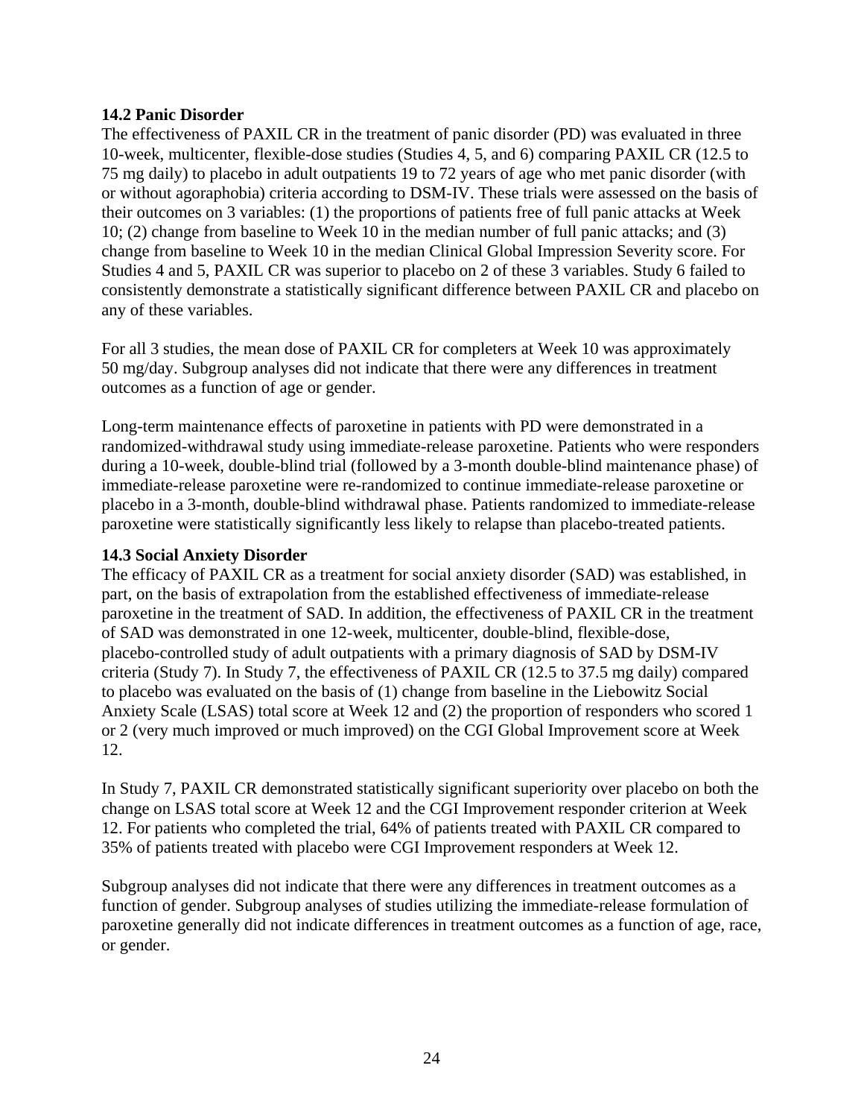## <span id="page-24-0"></span>**14.2 Panic Disorder**

The effectiveness of PAXIL CR in the treatment of panic disorder (PD) was evaluated in three 10-week, multicenter, flexible-dose studies (Studies 4, 5, and 6) comparing PAXIL CR (12.5 to 75 mg daily) to placebo in adult outpatients 19 to 72 years of age who met panic disorder (with or without agoraphobia) criteria according to DSM-IV. These trials were assessed on the basis of their outcomes on 3 variables: (1) the proportions of patients free of full panic attacks at Week 10; (2) change from baseline to Week 10 in the median number of full panic attacks; and (3) change from baseline to Week 10 in the median Clinical Global Impression Severity score. For Studies 4 and 5, PAXIL CR was superior to placebo on 2 of these 3 variables. Study 6 failed to consistently demonstrate a statistically significant difference between PAXIL CR and placebo on any of these variables.

For all 3 studies, the mean dose of PAXIL CR for completers at Week 10 was approximately 50 mg/day. Subgroup analyses did not indicate that there were any differences in treatment outcomes as a function of age or gender.

Long-term maintenance effects of paroxetine in patients with PD were demonstrated in a randomized-withdrawal study using immediate-release paroxetine. Patients who were responders during a 10-week, double-blind trial (followed by a 3-month double-blind maintenance phase) of immediate-release paroxetine were re-randomized to continue immediate-release paroxetine or placebo in a 3-month, double-blind withdrawal phase. Patients randomized to immediate-release paroxetine were statistically significantly less likely to relapse than placebo-treated patients.

## <span id="page-24-1"></span>**14.3 Social Anxiety Disorder**

The efficacy of PAXIL CR as a treatment for social anxiety disorder (SAD) was established, in part, on the basis of extrapolation from the established effectiveness of immediate-release paroxetine in the treatment of SAD. In addition, the effectiveness of PAXIL CR in the treatment of SAD was demonstrated in one 12-week, multicenter, double-blind, flexible-dose, placebo-controlled study of adult outpatients with a primary diagnosis of SAD by DSM-IV criteria (Study 7). In Study 7, the effectiveness of PAXIL CR (12.5 to 37.5 mg daily) compared to placebo was evaluated on the basis of (1) change from baseline in the Liebowitz Social Anxiety Scale (LSAS) total score at Week 12 and (2) the proportion of responders who scored 1 or 2 (very much improved or much improved) on the CGI Global Improvement score at Week 12.

In Study 7, PAXIL CR demonstrated statistically significant superiority over placebo on both the change on LSAS total score at Week 12 and the CGI Improvement responder criterion at Week 12. For patients who completed the trial, 64% of patients treated with PAXIL CR compared to 35% of patients treated with placebo were CGI Improvement responders at Week 12.

Subgroup analyses did not indicate that there were any differences in treatment outcomes as a function of gender. Subgroup analyses of studies utilizing the immediate-release formulation of paroxetine generally did not indicate differences in treatment outcomes as a function of age, race, or gender.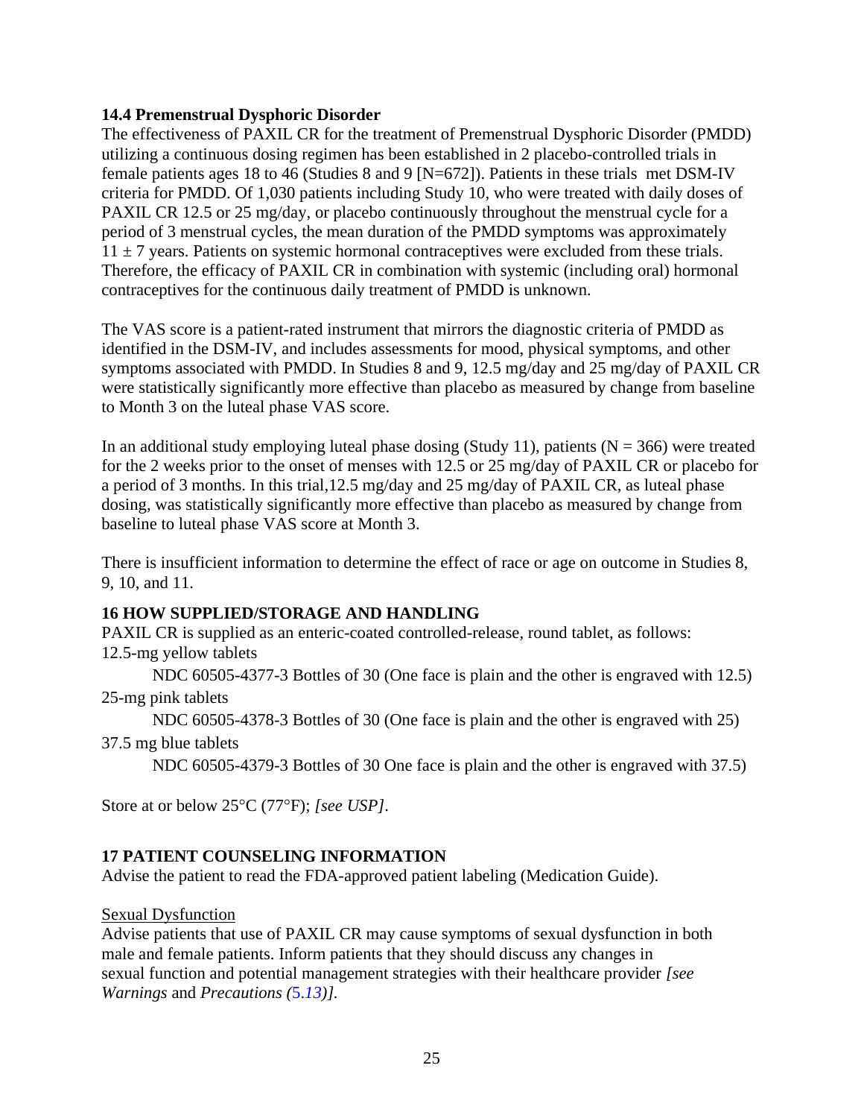# <span id="page-25-1"></span>**14.4 Premenstrual Dysphoric Disorder**

The effectiveness of PAXIL CR for the treatment of Premenstrual Dysphoric Disorder (PMDD) utilizing a continuous dosing regimen has been established in 2 placebo-controlled trials in female patients ages 18 to 46 (Studies 8 and 9 [N=672]). Patients in these trials met DSM-IV criteria for PMDD. Of 1,030 patients including Study 10, who were treated with daily doses of PAXIL CR 12.5 or 25 mg/day, or placebo continuously throughout the menstrual cycle for a period of 3 menstrual cycles, the mean duration of the PMDD symptoms was approximately  $11 \pm 7$  years. Patients on systemic hormonal contraceptives were excluded from these trials. Therefore, the efficacy of PAXIL CR in combination with systemic (including oral) hormonal contraceptives for the continuous daily treatment of PMDD is unknown.

The VAS score is a patient-rated instrument that mirrors the diagnostic criteria of PMDD as identified in the DSM-IV, and includes assessments for mood, physical symptoms, and other symptoms associated with PMDD. In Studies 8 and 9, 12.5 mg/day and 25 mg/day of PAXIL CR were statistically significantly more effective than placebo as measured by change from baseline to Month 3 on the luteal phase VAS score.

In an additional study employing luteal phase dosing (Study 11), patients ( $N = 366$ ) were treated for the 2 weeks prior to the onset of menses with 12.5 or 25 mg/day of PAXIL CR or placebo for a period of 3 months. In this trial,12.5 mg/day and 25 mg/day of PAXIL CR, as luteal phase dosing, was statistically significantly more effective than placebo as measured by change from baseline to luteal phase VAS score at Month 3.

There is insufficient information to determine the effect of race or age on outcome in Studies 8, 9, 10, and 11.

## <span id="page-25-2"></span>**16 HOW SUPPLIED/STORAGE AND HANDLING**

PAXIL CR is supplied as an enteric-coated controlled-release, round tablet, as follows: 12.5-mg yellow tablets

NDC 60505-4377-3 Bottles of 30 (One face is plain and the other is engraved with 12.5) 25-mg pink tablets

NDC 60505-4378-3 Bottles of 30 (One face is plain and the other is engraved with 25)

37.5 mg blue tablets

NDC 60505-4379-3 Bottles of 30 One face is plain and the other is engraved with 37.5)

Store at or below 25<sup>o</sup>C (77<sup>o</sup>F); [see USP].

## <span id="page-25-0"></span>**17 PATIENT COUNSELING INFORMATION**

Advise the patient to read the FDA-approved patient labeling (Medication Guide).

## Sexual Dysfunction

Advise patients that use of PAXIL CR may cause symptoms of sexual dysfunction in both male and female patients. Inform patients that they should discuss any changes in sexual function and potential management strategies with their healthcare provider *[see Warnings* and *Precautions (*5.*[13\)](#page-7-0)].*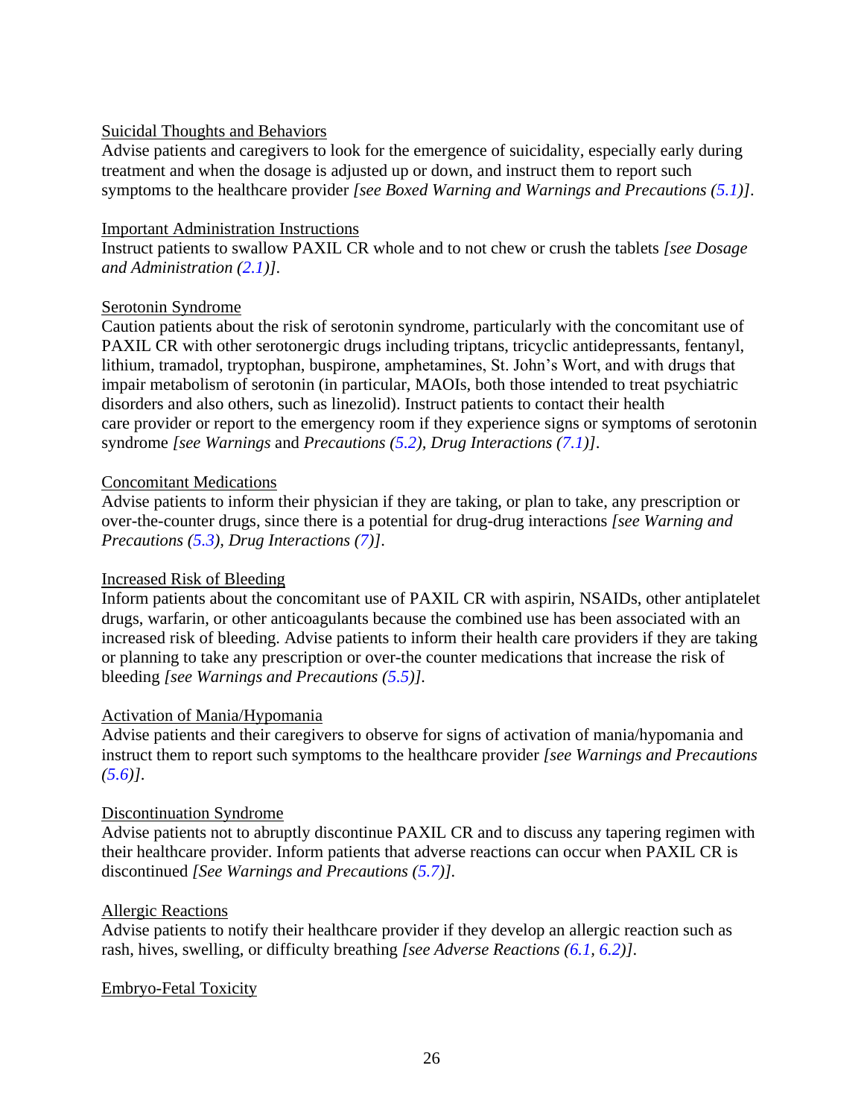## Suicidal Thoughts and Behaviors

Advise patients and caregivers to look for the emergence of suicidality, especially early during treatment and when the dosage is adjusted up or down, and instruct them to report such symptoms to the healthcare provider *[see Boxed Warning and Warnings and Precautions [\(5.1\)](#page-4-0)]*.

## Important Administration Instructions

Instruct patients to swallow PAXIL CR whole and to not chew or crush the tablets *[see Dosage and Administration [\(2.1\)](#page-2-1)]*.

## Serotonin Syndrome

Caution patients about the risk of serotonin syndrome, particularly with the concomitant use of PAXIL CR with other serotonergic drugs including triptans, tricyclic antidepressants, fentanyl, lithium, tramadol, tryptophan, buspirone, amphetamines, St. John's Wort, and with drugs that impair metabolism of serotonin (in particular, MAOIs, both those intended to treat psychiatric disorders and also others, such as linezolid). Instruct patients to contact their health care provider or report to the emergency room if they experience signs or symptoms of serotonin syndrome *[see Warnings* and *Precautions [\(5.2\)](#page-4-1), Drug Interactions [\(7.1\)](#page-13-3)]*.

## Concomitant Medications

Advise patients to inform their physician if they are taking, or plan to take, any prescription or over-the-counter drugs, since there is a potential for drug-drug interactions *[see Warning and Precautions [\(5.3\)](#page-5-0), Drug Interactions [\(7\)](#page-13-0)]*.

## Increased Risk of Bleeding

Inform patients about the concomitant use of PAXIL CR with aspirin, NSAIDs, other antiplatelet drugs, warfarin, or other anticoagulants because the combined use has been associated with an increased risk of bleeding. Advise patients to inform their health care providers if they are taking or planning to take any prescription or over-the counter medications that increase the risk of bleeding *[see Warnings and Precautions [\(5.5\)](#page-5-2)].*

## Activation of Mania/Hypomania

Advise patients and their caregivers to observe for signs of activation of mania/hypomania and instruct them to report such symptoms to the healthcare provider *[see Warnings and Precautions [\(5.6\)](#page-6-0)]*.

## Discontinuation Syndrome

Advise patients not to abruptly discontinue PAXIL CR and to discuss any tapering regimen with their healthcare provider. Inform patients that adverse reactions can occur when PAXIL CR is discontinued *[See Warnings and Precautions [\(5.7\)](#page-6-3)].*

## Allergic Reactions

Advise patients to notify their healthcare provider if they develop an allergic reaction such as rash, hives, swelling, or difficulty breathing *[see Adverse Reactions [\(6.1,](#page-8-0) [6.2\)](#page-13-1)]*.

## Embryo-Fetal Toxicity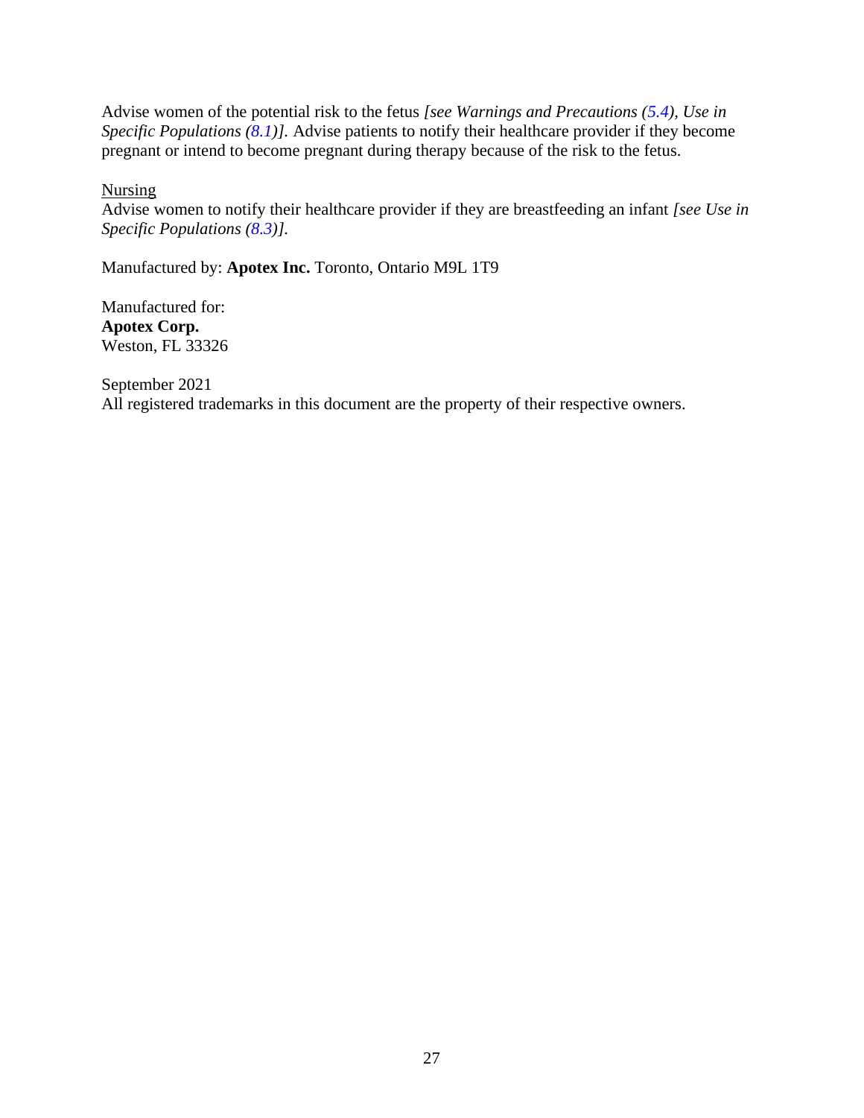Advise women of the potential risk to the fetus *[see Warnings and Precautions [\(5.4\)](#page-5-1), Use in Specific Populations [\(8.1\)](#page-15-0)].* Advise patients to notify their healthcare provider if they become pregnant or intend to become pregnant during therapy because of the risk to the fetus.

**Nursing** 

Advise women to notify their healthcare provider if they are breastfeeding an infant *[see Use in Specific Populations [\(8.3\)](#page-17-1)].*

Manufactured by: **Apotex Inc.** Toronto, Ontario M9L 1T9

Manufactured for: **Apotex Corp.** Weston, FL 33326

<span id="page-27-0"></span>September 2021 All registered trademarks in this document are the property of their respective owners.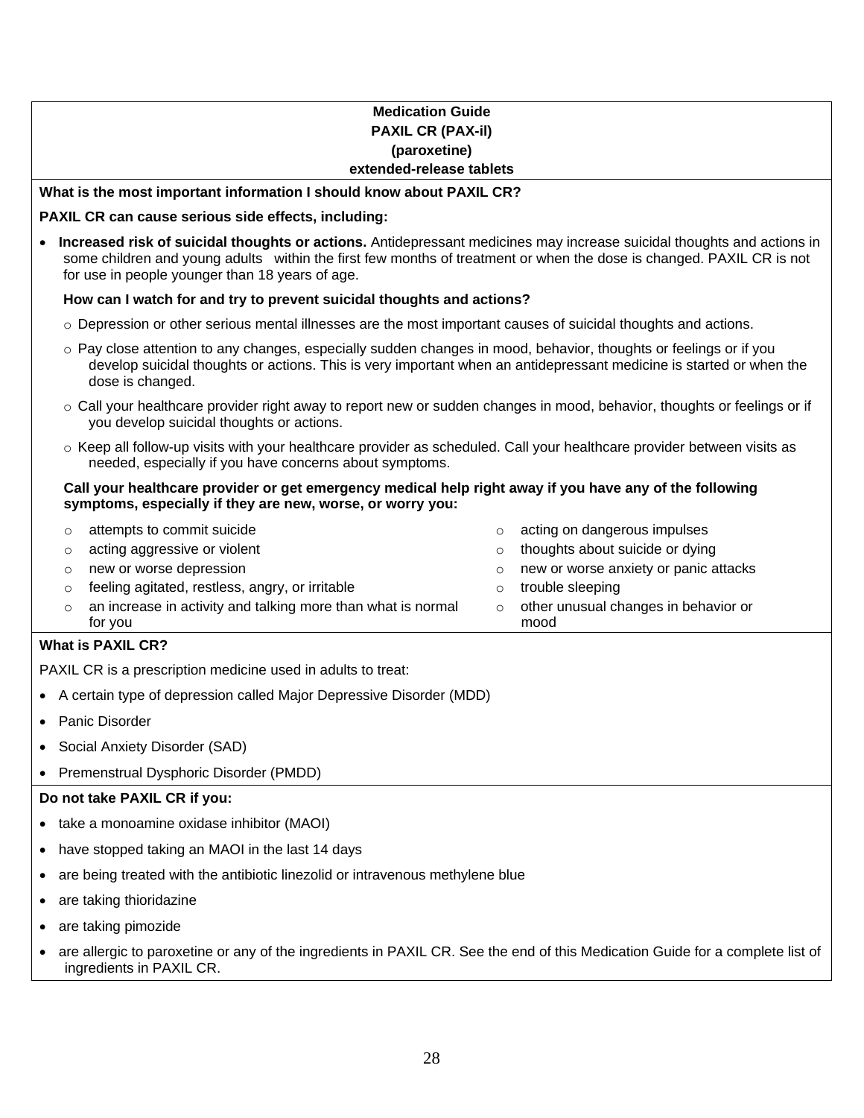#### **Medication Guide PAXIL CR (PAX-il) (paroxetine) extended-release tablets**

#### **What is the most important information I should know about PAXIL CR?**

#### **PAXIL CR can cause serious side effects, including:**

• **Increased risk of suicidal thoughts or actions.** Antidepressant medicines may increase suicidal thoughts and actions in some children and young adults within the first few months of treatment or when the dose is changed. PAXIL CR is not for use in people younger than 18 years of age.

#### **How can I watch for and try to prevent suicidal thoughts and actions?**

- $\circ$  Depression or other serious mental illnesses are the most important causes of suicidal thoughts and actions.
- o Pay close attention to any changes, especially sudden changes in mood, behavior, thoughts or feelings or if you develop suicidal thoughts or actions. This is very important when an antidepressant medicine is started or when the dose is changed.
- $\circ$  Call your healthcare provider right away to report new or sudden changes in mood, behavior, thoughts or feelings or if you develop suicidal thoughts or actions.
- o Keep all follow-up visits with your healthcare provider as scheduled. Call your healthcare provider between visits as needed, especially if you have concerns about symptoms.

#### **Call your healthcare provider or get emergency medical help right away if you have any of the following symptoms, especially if they are new, worse, or worry you:**

 $\circ$  attempts to commit suicide  $\circ$  acting on dangerous impulses  $\circ$  acting aggressive or violent on the thoughts about suicide or dying  $\circ$  new or worse depression  $\circ$  new or worse anxiety or panic attacks  $\circ$  feeling agitated, restless, angry, or irritable  $\circ$  trouble sleeping o an increase in activity and talking more than what is normal for you o other unusual changes in behavior or mood

#### **What is PAXIL CR?**

PAXIL CR is a prescription medicine used in adults to treat:

- A certain type of depression called Major Depressive Disorder (MDD)
- Panic Disorder
- Social Anxiety Disorder (SAD)
- Premenstrual Dysphoric Disorder (PMDD)

#### **Do not take PAXIL CR if you:**

- take a monoamine oxidase inhibitor (MAOI)
- have stopped taking an MAOI in the last 14 days
- are being treated with the antibiotic linezolid or intravenous methylene blue
- are taking thioridazine
- are taking pimozide
- are allergic to paroxetine or any of the ingredients in PAXIL CR. See the end of this Medication Guide for a complete list of ingredients in PAXIL CR.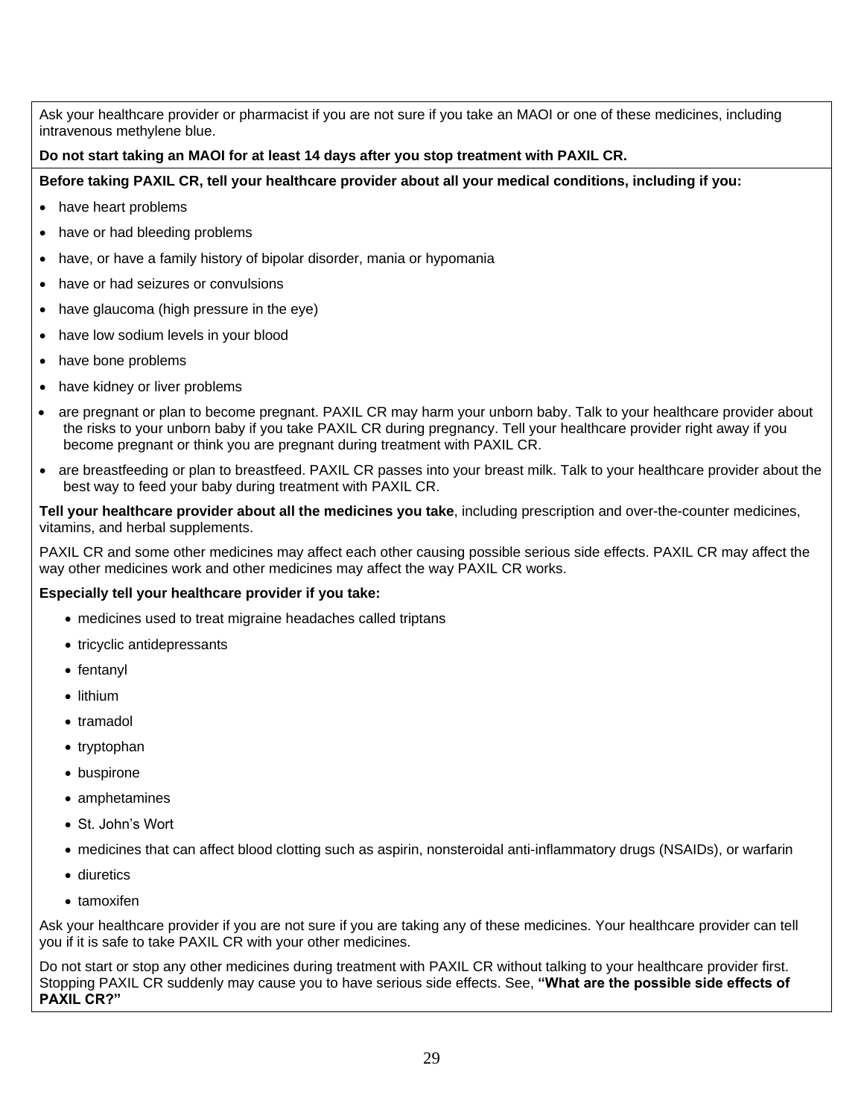Ask your healthcare provider or pharmacist if you are not sure if you take an MAOI or one of these medicines, including intravenous methylene blue.

#### **Do not start taking an MAOI for at least 14 days after you stop treatment with PAXIL CR.**

**Before taking PAXIL CR, tell your healthcare provider about all your medical conditions, including if you:**

- have heart problems
- have or had bleeding problems
- have, or have a family history of bipolar disorder, mania or hypomania
- have or had seizures or convulsions
- have glaucoma (high pressure in the eye)
- have low sodium levels in your blood
- have bone problems
- have kidney or liver problems
- are pregnant or plan to become pregnant. PAXIL CR may harm your unborn baby. Talk to your healthcare provider about the risks to your unborn baby if you take PAXIL CR during pregnancy. Tell your healthcare provider right away if you become pregnant or think you are pregnant during treatment with PAXIL CR.
- are breastfeeding or plan to breastfeed. PAXIL CR passes into your breast milk. Talk to your healthcare provider about the best way to feed your baby during treatment with PAXIL CR.

**Tell your healthcare provider about all the medicines you take**, including prescription and over-the-counter medicines, vitamins, and herbal supplements.

PAXIL CR and some other medicines may affect each other causing possible serious side effects. PAXIL CR may affect the way other medicines work and other medicines may affect the way PAXIL CR works.

#### **Especially tell your healthcare provider if you take:**

- medicines used to treat migraine headaches called triptans
- tricyclic antidepressants
- fentanyl
- lithium
- tramadol
- tryptophan
- buspirone
- amphetamines
- St. John's Wort
- medicines that can affect blood clotting such as aspirin, nonsteroidal anti-inflammatory drugs (NSAIDs), or warfarin
- diuretics
- tamoxifen

Ask your healthcare provider if you are not sure if you are taking any of these medicines. Your healthcare provider can tell you if it is safe to take PAXIL CR with your other medicines.

Do not start or stop any other medicines during treatment with PAXIL CR without talking to your healthcare provider first. Stopping PAXIL CR suddenly may cause you to have serious side effects. See, **"What are the possible side effects of PAXIL CR?"**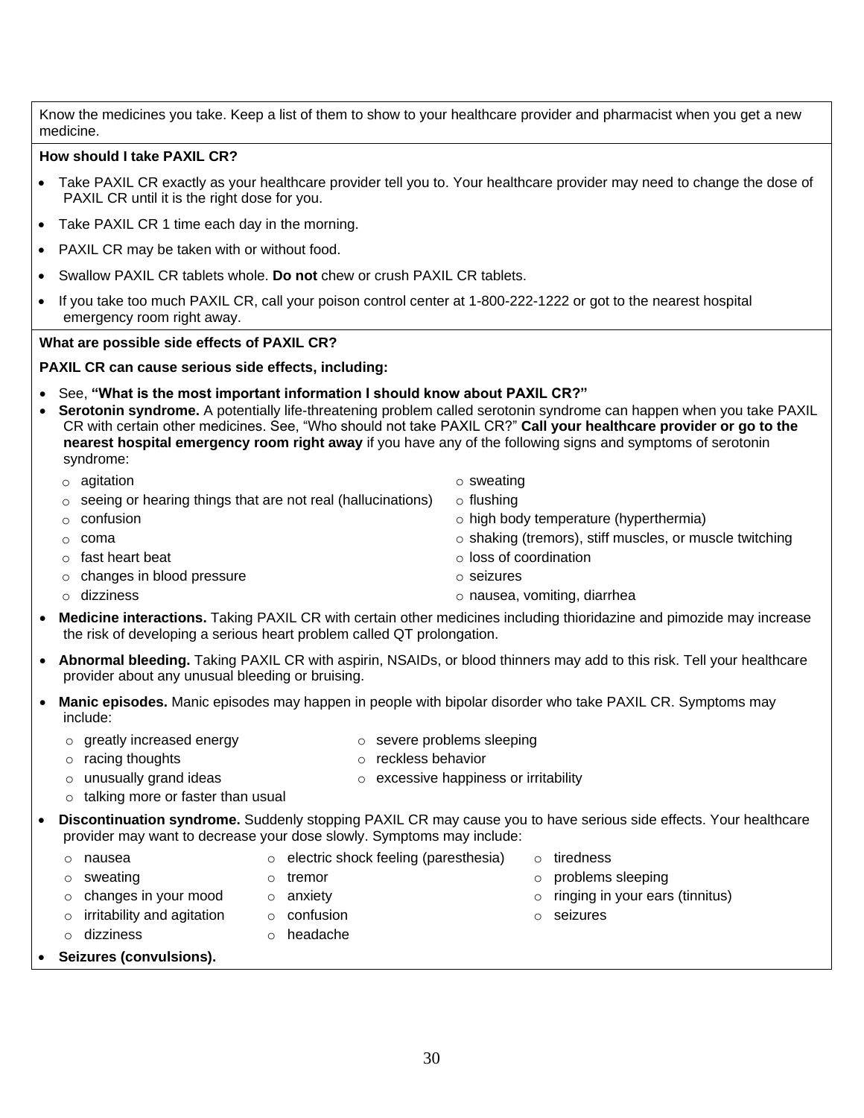Know the medicines you take. Keep a list of them to show to your healthcare provider and pharmacist when you get a new medicine.

#### **How should I take PAXIL CR?**

- Take PAXIL CR exactly as your healthcare provider tell you to. Your healthcare provider may need to change the dose of PAXIL CR until it is the right dose for you.
- Take PAXIL CR 1 time each day in the morning.
- PAXIL CR may be taken with or without food.
- Swallow PAXIL CR tablets whole. **Do not** chew or crush PAXIL CR tablets.
- If you take too much PAXIL CR, call your poison control center at 1-800-222-1222 or got to the nearest hospital emergency room right away.

#### **What are possible side effects of PAXIL CR?**

#### **PAXIL CR can cause serious side effects, including:**

- See, **"What is the most important information I should know about PAXIL CR?"**
- **Serotonin syndrome.** A potentially life-threatening problem called serotonin syndrome can happen when you take PAXIL CR with certain other medicines. See, "Who should not take PAXIL CR?" **Call your healthcare provider or go to the nearest hospital emergency room right away** if you have any of the following signs and symptoms of serotonin syndrome:
	- o agitation o sweating o sweating
		-
	- $\circ$  seeing or hearing things that are not real (hallucinations)  $\circ$  flushing
	- o confusion o high body temperature (hyperthermia)
	- $\circ$  coma  $\circ$  coma  $\circ$  shaking (tremors), stiff muscles, or muscle twitching
	- o fast heart beat o loss of coordination
	- o changes in blood pressure o seizures
	-
	- o dizziness o nausea, vomiting, diarrhea
- **Medicine interactions.** Taking PAXIL CR with certain other medicines including thioridazine and pimozide may increase the risk of developing a serious heart problem called QT prolongation.
- **Abnormal bleeding.** Taking PAXIL CR with aspirin, NSAIDs, or blood thinners may add to this risk. Tell your healthcare provider about any unusual bleeding or bruising.
- **Manic episodes.** Manic episodes may happen in people with bipolar disorder who take PAXIL CR. Symptoms may include:
	- o greatly increased energy o severe problems sleeping
	- o racing thoughts o reckless behavior
	-
	- $\circ$  unusually grand ideas  $\circ$  excessive happiness or irritability
	- o talking more or faster than usual

o dizziness o headache

- **Discontinuation syndrome.** Suddenly stopping PAXIL CR may cause you to have serious side effects. Your healthcare provider may want to decrease your dose slowly. Symptoms may include:
- o nausea o electric shock feeling (paresthesia) o tiredness o sweating o contract the observer of tremor of tremor of the observer of the option of problems sleeping  $\circ$  changes in your mood  $\circ$  anxiety  $\circ$  anxiety  $\circ$  o ringing in your ears (tinnitus) o irritability and agitation o confusion o seizures
- **Seizures (convulsions).**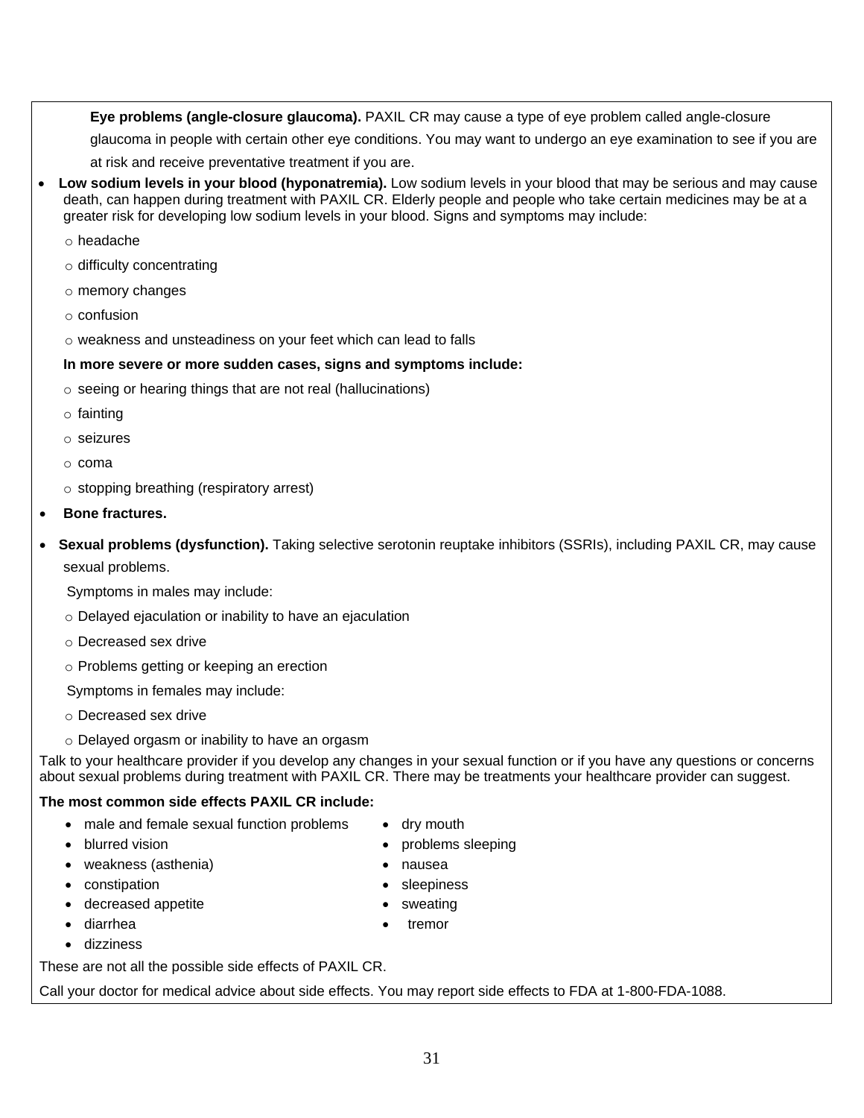**Eye problems (angle-closure glaucoma).** PAXIL CR may cause a type of eye problem called angle-closure

glaucoma in people with certain other eye conditions. You may want to undergo an eye examination to see if you are at risk and receive preventative treatment if you are.

• **Low sodium levels in your blood (hyponatremia).** Low sodium levels in your blood that may be serious and may cause death, can happen during treatment with PAXIL CR. Elderly people and people who take certain medicines may be at a greater risk for developing low sodium levels in your blood. Signs and symptoms may include:

o headache

- o difficulty concentrating
- o memory changes
- o confusion
- o weakness and unsteadiness on your feet which can lead to falls

#### **In more severe or more sudden cases, signs and symptoms include:**

- o seeing or hearing things that are not real (hallucinations)
- o fainting
- o seizures
- o coma
- o stopping breathing (respiratory arrest)
- **Bone fractures.**
- **Sexual problems (dysfunction).** Taking selective serotonin reuptake inhibitors (SSRIs), including PAXIL CR, may cause sexual problems.

Symptoms in males may include:

- o Delayed ejaculation or inability to have an ejaculation
- o Decreased sex drive
- o Problems getting or keeping an erection

Symptoms in females may include:

- o Decreased sex drive
- o Delayed orgasm or inability to have an orgasm

Talk to your healthcare provider if you develop any changes in your sexual function or if you have any questions or concerns about sexual problems during treatment with PAXIL CR. There may be treatments your healthcare provider can suggest.

#### **The most common side effects PAXIL CR include:**

• male and female sexual function problems • dry mouth

These are not all the possible side effects of PAXIL CR.

- blurred vision problems sleeping
- weakness (asthenia) nausea
	-

• dizziness

- decreased appetite sweating
	- diarrhea **•** tremor
- Call your doctor for medical advice about side effects. You may report side effects to FDA at 1-800-FDA-1088.
- 
- 
- constipation sleepiness
	-
	-
	-